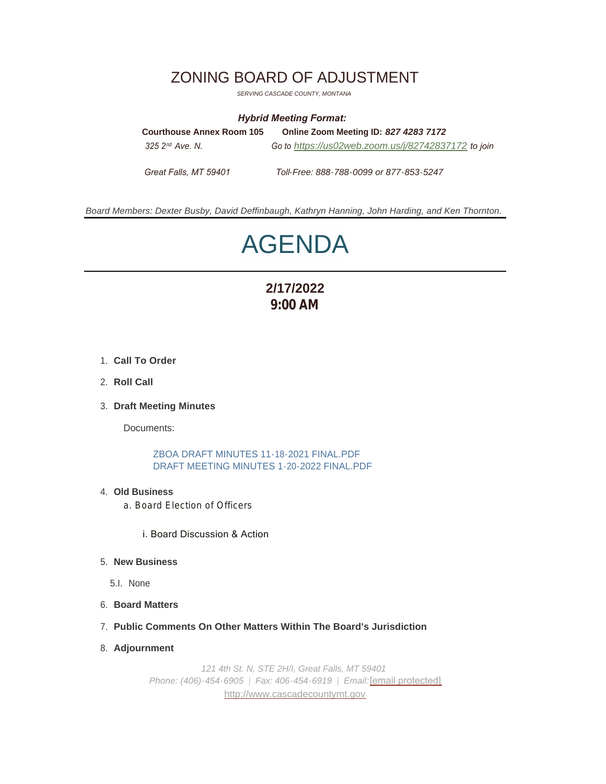# ZONING BOARD OF ADJUSTMENT

*SERVING CASCADE COUNTY, MONTANA*

#### *Hybrid Meeting Format:*

| <b>Courthouse Annex Room 105</b> | Online Zoom Meeting ID: 827 4283 7172               |
|----------------------------------|-----------------------------------------------------|
| 325 $2^{nd}$ Ave. N.             | Go to https://us02web.zoom.us/j/82742837172 to join |
|                                  |                                                     |

*Great Falls, MT 59401 Toll-Free: 888-788-0099 or 877-853-5247*

*Board Members: Dexter Busby, David Deffinbaugh, Kathryn Hanning, John Harding, and Ken Thornton.*

# AGENDA

# **2/17/2022 9:00 AM**

- **Call To Order** 1.
- 2. **Roll Call**

#### **Draft Meeting Minutes** 3.

Documents:

ZBOA DRAFT MINUTES 11-18-2021 FINAL.PDF DRAFT MEETING MINUTES 1-20-2022 FINAL.PDF

- **Old Business** 4.
	- a. Board Election of Officers

#### i. Board Discussion & Action

- **New Business** 5.
	- 5.I. None
- **Board Matters** 6.
- **Public Comments On Other Matters Within The Board's Jurisdiction** 7.
- **Adjournment** 8.

*121 4th St. N, STE 2H/I, Great Falls, MT 59401 Phone: (406)-454-6905 <sup>|</sup> Fax: 406-454-6919 <sup>|</sup> Email:*[\[email protected\]](https://www.cascadecountymt.gov/cdn-cgi/l/email-protection#d8a8b4b9b6b6b1b6bfbbb7b5b5bdb6acab98bbb9abbbb9bcbdbbb7adb6aca1b5acf6bfb7ae) [http://www.cascadecountymt.gov](http://www.cascadecountymt.gov/)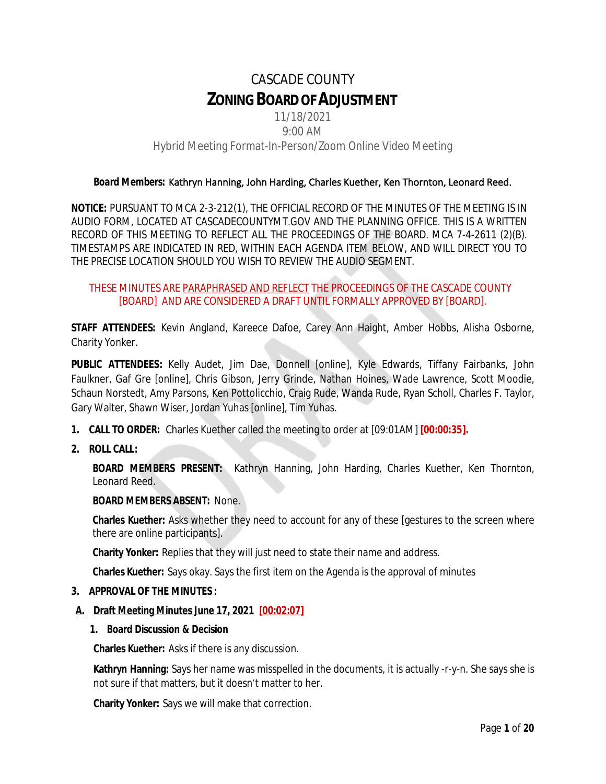# CASCADE COUNTY **ZONINGBOARDOFADJUSTMENT**

# 11/18/2021 9:00 AM Hybrid Meeting Format-In-Person/Zoom Online Video Meeting

#### *Board Members:* Kathryn Hanning, John Harding, Charles Kuether, Ken Thornton, Leonard Reed.

**NOTICE:** PURSUANT TO MCA 2-3-212(1), THE OFFICIAL RECORD OF THE MINUTES OF THE MEETING IS IN AUDIO FORM, LOCATED AT CASCADECOUNTYMT.GOV AND THE PLANNING OFFICE. THIS IS A WRITTEN RECORD OF THIS MEETING TO REFLECT ALL THE PROCEEDINGS OF THE BOARD. MCA 7-4-2611 (2)(B). TIMESTAMPS ARE INDICATED IN RED, WITHIN EACH AGENDA ITEM BELOW, AND WILL DIRECT YOU TO THE PRECISE LOCATION SHOULD YOU WISH TO REVIEW THE AUDIO SEGMENT.

# THESE MINUTES ARE PARAPHRASED AND REFLECT THE PROCEEDINGS OF THE CASCADE COUNTY [BOARD] AND ARE CONSIDERED A DRAFT UNTIL FORMALLY APPROVED BY [BOARD].

**STAFF ATTENDEES:** Kevin Angland, Kareece Dafoe, Carey Ann Haight, Amber Hobbs, Alisha Osborne, Charity Yonker.

**PUBLIC ATTENDEES:** Kelly Audet, Jim Dae, Donnell [online], Kyle Edwards, Tiffany Fairbanks, John Faulkner, Gaf Gre [online], Chris Gibson, Jerry Grinde, Nathan Hoines, Wade Lawrence, Scott Moodie, Schaun Norstedt, Amy Parsons, Ken Pottolicchio, Craig Rude, Wanda Rude, Ryan Scholl, Charles F. Taylor, Gary Walter, Shawn Wiser, Jordan Yuhas [online], Tim Yuhas.

- **1. CALL TO ORDER:** Charles Kuether called the meeting to order at [09:01AM] **[00:00:35].**
- **2. ROLL CALL:**

**BOARD MEMBERS PRESENT:** Kathryn Hanning, John Harding, Charles Kuether, Ken Thornton, Leonard Reed.

# **BOARD MEMBERS ABSENT:** None.

**Charles Kuether:** Asks whether they need to account for any of these [gestures to the screen where there are online participants].

**Charity Yonker:** Replies that they will just need to state their name and address.

**Charles Kuether:** Says okay. Says the first item on the Agenda is the approval of minutes

# **3. APPROVAL OF THE MINUTES :**

# **A. Draft Meeting Minutes June 17, 2021 [00:02:07]**

#### **1. Board Discussion & Decision**

**Charles Kuether:** Asks if there is any discussion.

**Kathryn Hanning:** Says her name was misspelled in the documents, it is actually -r-y-n. She says she is not sure if that matters, but it doesn't matter to her.

**Charity Yonker:** Says we will make that correction.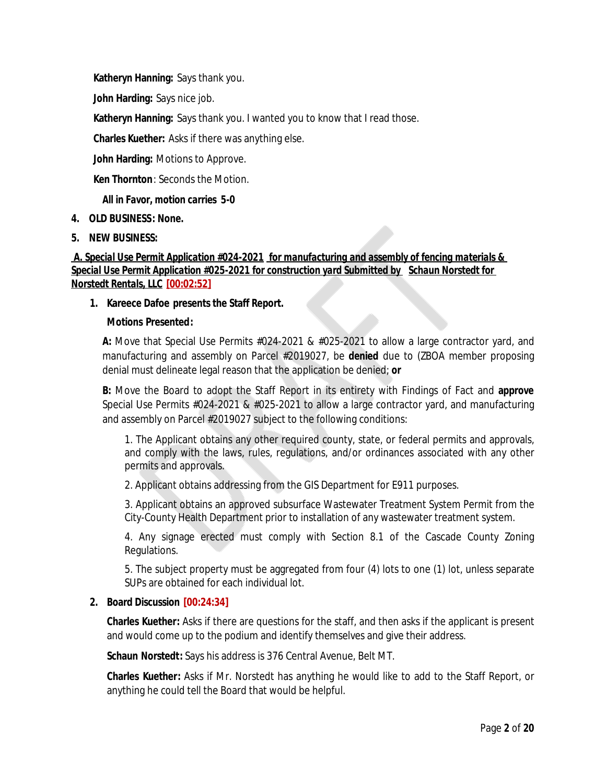**Katheryn Hanning:** Says thank you.

**John Harding:** Says nice job.

**Katheryn Hanning:** Says thank you. I wanted you to know that I read those.

**Charles Kuether:** Asks if there was anything else.

**John Harding:** Motions to Approve.

**Ken Thornton**: Seconds the Motion.

*All in Favor, motion carries 5-0*

- **4. OLD BUSINESS: None.**
- **5. NEW BUSINESS:**

# **A.** *Special Use Permit Application #024-2021 for manufacturing and assembly of fencing materials & Special Use Permit Application #025-2021 for construction yard Submitted by Schaun Norstedt for Norstedt Rentals, LLC* **[00:02:52]**

# **1. Kareece Dafoe presents the Staff Report.**

# **Motions Presented:**

**A:** Move that Special Use Permits #024-2021 & #025-2021 to allow a large contractor yard, and manufacturing and assembly on Parcel #2019027, be **denied** due to (ZBOA member proposing denial must delineate legal reason that the application be denied; **or**

**B:** Move the Board to adopt the Staff Report in its entirety with Findings of Fact and **approve** Special Use Permits #024-2021 & #025-2021 to allow a large contractor yard, and manufacturing and assembly on Parcel #2019027 subject to the following conditions:

1. The Applicant obtains any other required county, state, or federal permits and approvals, and comply with the laws, rules, regulations, and/or ordinances associated with any other permits and approvals.

2. Applicant obtains addressing from the GIS Department for E911 purposes.

3. Applicant obtains an approved subsurface Wastewater Treatment System Permit from the City-County Health Department prior to installation of any wastewater treatment system.

4. Any signage erected must comply with Section 8.1 of the Cascade County Zoning Regulations.

5. The subject property must be aggregated from four (4) lots to one (1) lot, unless separate SUPs are obtained for each individual lot.

# **2. Board Discussion [00:24:34]**

**Charles Kuether:** Asks if there are questions for the staff, and then asks if the applicant is present and would come up to the podium and identify themselves and give their address.

**Schaun Norstedt:** Says his address is 376 Central Avenue, Belt MT.

**Charles Kuether:** Asks if Mr. Norstedt has anything he would like to add to the Staff Report, or anything he could tell the Board that would be helpful.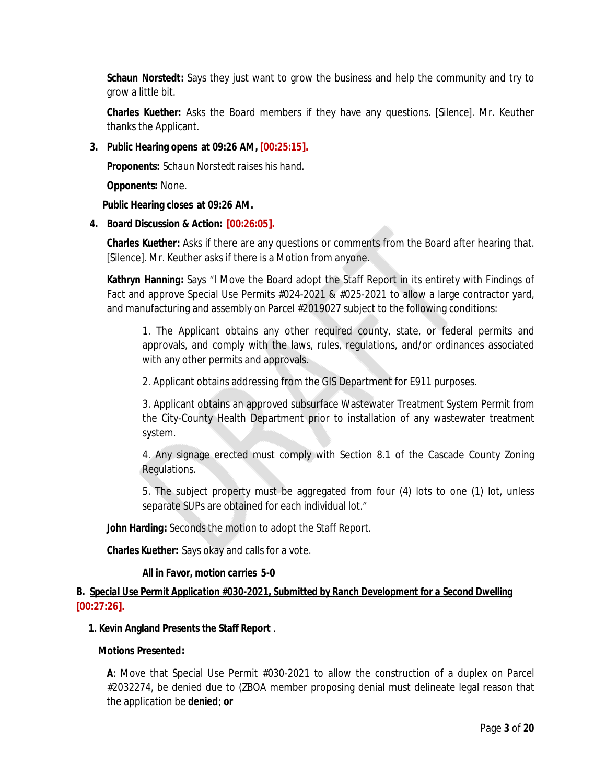**Schaun Norstedt:** Says they just want to grow the business and help the community and try to grow a little bit.

**Charles Kuether:** Asks the Board members if they have any questions. *[Silence].* Mr. Keuther thanks the Applicant.

#### **3. Public Hearing opens at 09:26 AM, [00:25:15].**

**Proponents:** *Schaun Norstedt raises his hand.*

**Opponents:** None.

#### **Public Hearing closes at 09:26 AM.**

#### **4. Board Discussion & Action: [00:26:05].**

**Charles Kuether:** Asks if there are any questions or comments from the Board after hearing that. [Silence]. Mr. Keuther asks if there is a Motion from anyone.

**Kathryn Hanning:** Says "I Move the Board adopt the Staff Report in its entirety with Findings of Fact and approve Special Use Permits #024-2021 & #025-2021 to allow a large contractor yard, and manufacturing and assembly on Parcel #2019027 subject to the following conditions:

1. The Applicant obtains any other required county, state, or federal permits and approvals, and comply with the laws, rules, regulations, and/or ordinances associated with any other permits and approvals.

2. Applicant obtains addressing from the GIS Department for E911 purposes.

3. Applicant obtains an approved subsurface Wastewater Treatment System Permit from the City-County Health Department prior to installation of any wastewater treatment system.

4. Any signage erected must comply with Section 8.1 of the Cascade County Zoning Regulations.

5. The subject property must be aggregated from four (4) lots to one (1) lot, unless separate SUPs are obtained for each individual lot."

**John Harding:** Seconds the motion to adopt the Staff Report.

**Charles Kuether:** Says okay and calls for a vote.

#### *All in Favor, motion carries 5-0*

**B.** *Special Use Permit Application #030-2021, Submitted by Ranch Development for a Second Dwelling* **[00:27:26].**

#### **1. Kevin Angland Presents the Staff Report** .

#### **Motions Presented:**

**A**: Move that Special Use Permit #030-2021 to allow the construction of a duplex on Parcel #2032274, be denied due to (ZBOA member proposing denial must delineate legal reason that the application be **denied**; **or**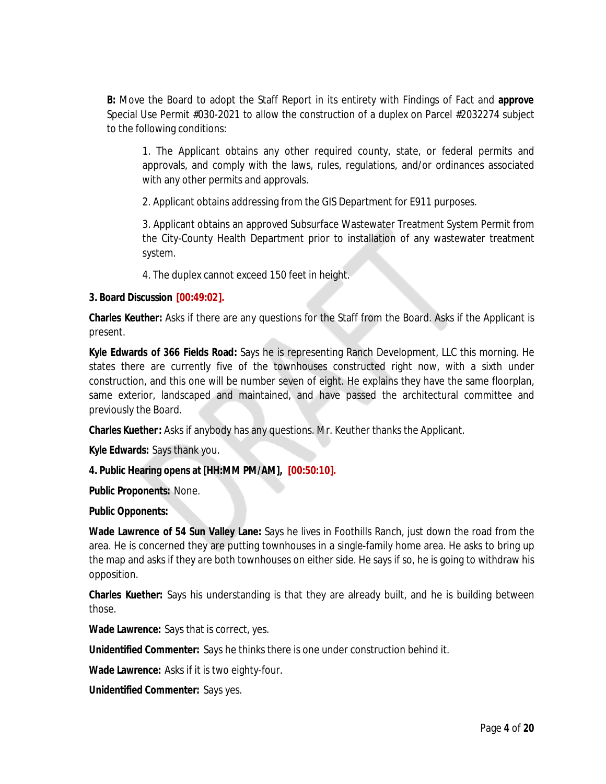**B:** Move the Board to adopt the Staff Report in its entirety with Findings of Fact and **approve** Special Use Permit #030-2021 to allow the construction of a duplex on Parcel #2032274 subject to the following conditions:

1. The Applicant obtains any other required county, state, or federal permits and approvals, and comply with the laws, rules, regulations, and/or ordinances associated with any other permits and approvals.

2. Applicant obtains addressing from the GIS Department for E911 purposes.

3. Applicant obtains an approved Subsurface Wastewater Treatment System Permit from the City-County Health Department prior to installation of any wastewater treatment system.

4. The duplex cannot exceed 150 feet in height.

#### **3. Board Discussion [00:49:02].**

**Charles Keuther:** Asks if there are any questions for the Staff from the Board. Asks if the Applicant is present.

**Kyle Edwards of 366 Fields Road:** Says he is representing Ranch Development, LLC this morning. He states there are currently five of the townhouses constructed right now, with a sixth under construction, and this one will be number seven of eight. He explains they have the same floorplan, same exterior, landscaped and maintained, and have passed the architectural committee and previously the Board.

**Charles Kuether:** Asks if anybody has any questions. Mr. Keuther thanks the Applicant.

**Kyle Edwards:** Says thank you.

# **4. Public Hearing opens at [HH:MM PM/AM], [00:50:10].**

**Public Proponents:** None.

#### **Public Opponents:**

**Wade Lawrence of 54 Sun Valley Lane:** Says he lives in Foothills Ranch, just down the road from the area. He is concerned they are putting townhouses in a single-family home area. He asks to bring up the map and asks if they are both townhouses on either side. He says if so, he is going to withdraw his opposition.

**Charles Kuether:** Says his understanding is that they are already built, and he is building between those.

**Wade Lawrence:** Says that is correct, yes.

**Unidentified Commenter:** Says he thinks there is one under construction behind it.

**Wade Lawrence:** Asks if it is two eighty-four.

**Unidentified Commenter:** Says yes.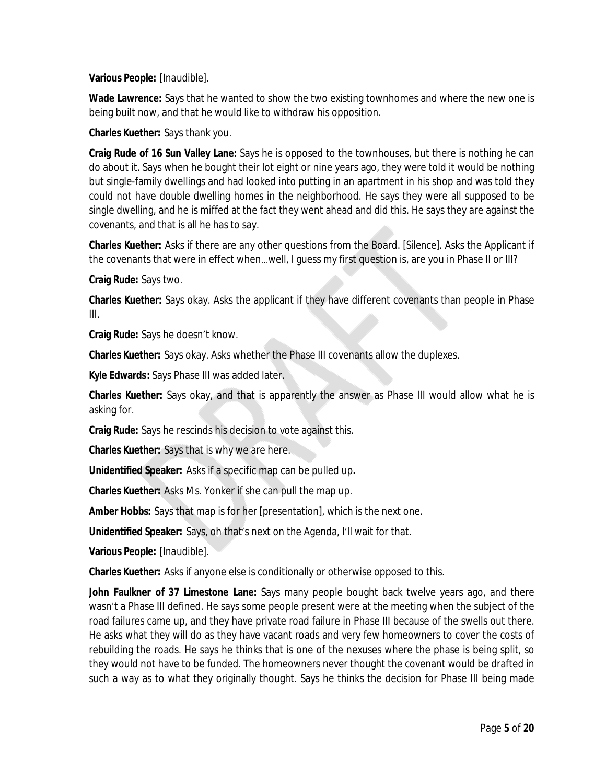# **Various People:** [*Inaudible*].

**Wade Lawrence:** Says that he wanted to show the two existing townhomes and where the new one is being built now, and that he would like to withdraw his opposition.

# **Charles Kuether:** Says thank you.

**Craig Rude of 16 Sun Valley Lane:** Says he is opposed to the townhouses, but there is nothing he can do about it. Says when he bought their lot eight or nine years ago, they were told it would be nothing but single-family dwellings and had looked into putting in an apartment in his shop and was told they could not have double dwelling homes in the neighborhood. He says they were all supposed to be single dwelling, and he is miffed at the fact they went ahead and did this. He says they are against the covenants, and that is all he has to say.

**Charles Kuether:** Asks if there are any other questions from the Board. *[Silence].* Asks the Applicant if the covenants that were in effect when…well, I guess my first question is, are you in Phase II or III?

**Craig Rude:** Says two.

**Charles Kuether:** Says okay. Asks the applicant if they have different covenants than people in Phase III.

**Craig Rude:** Says he doesn't know.

**Charles Kuether:** Says okay. Asks whether the Phase III covenants allow the duplexes.

**Kyle Edwards:** Says Phase III was added later.

**Charles Kuether:** Says okay, and that is apparently the answer as Phase III would allow what he is asking for.

**Craig Rude:** Says he rescinds his decision to vote against this.

**Charles Kuether:** Says that is why we are here.

**Unidentified Speaker:** Asks if a specific map can be pulled up**.**

**Charles Kuether:** Asks Ms. Yonker if she can pull the map up.

**Amber Hobbs:** Says that map is for her [presentation], which is the next one.

**Unidentified Speaker:** Says, oh that's next on the Agenda, I'll wait for that.

**Various People:** [*Inaudible*].

**Charles Kuether:** Asks if anyone else is conditionally or otherwise opposed to this.

**John Faulkner of 37 Limestone Lane:** Says many people bought back twelve years ago, and there wasn't a Phase III defined. He says some people present were at the meeting when the subject of the road failures came up, and they have private road failure in Phase III because of the swells out there. He asks what they will do as they have vacant roads and very few homeowners to cover the costs of rebuilding the roads. He says he thinks that is one of the nexuses where the phase is being split, so they would not have to be funded. The homeowners never thought the covenant would be drafted in such a way as to what they originally thought. Says he thinks the decision for Phase III being made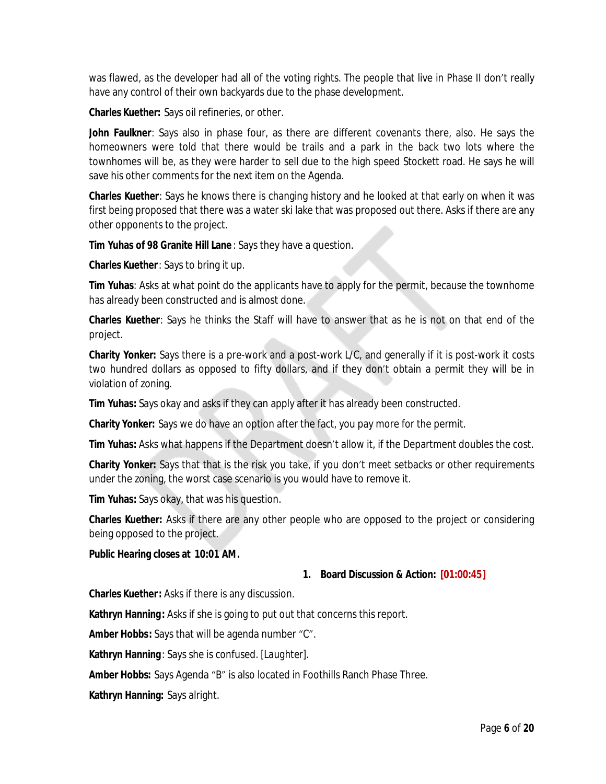was flawed, as the developer had all of the voting rights. The people that live in Phase II don't really have any control of their own backyards due to the phase development.

**Charles Kuether:** Says oil refineries, or other.

**John Faulkner**: Says also in phase four, as there are different covenants there, also. He says the homeowners were told that there would be trails and a park in the back two lots where the townhomes will be, as they were harder to sell due to the high speed Stockett road. He says he will save his other comments for the next item on the Agenda.

**Charles Kuether**: Says he knows there is changing history and he looked at that early on when it was first being proposed that there was a water ski lake that was proposed out there. Asks if there are any other opponents to the project.

**Tim Yuhas of 98 Granite Hill Lane** : Says they have a question.

**Charles Kuether**: Says to bring it up.

**Tim Yuhas**: Asks at what point do the applicants have to apply for the permit, because the townhome has already been constructed and is almost done.

**Charles Kuether**: Says he thinks the Staff will have to answer that as he is not on that end of the project.

**Charity Yonker:** Says there is a pre-work and a post-work L/C, and generally if it is post-work it costs two hundred dollars as opposed to fifty dollars, and if they don't obtain a permit they will be in violation of zoning.

**Tim Yuhas:** Says okay and asks if they can apply after it has already been constructed.

**Charity Yonker:** Says we do have an option after the fact, you pay more for the permit.

**Tim Yuhas:** Asks what happens if the Department doesn't allow it, if the Department doubles the cost.

**Charity Yonker:** Says that that is the risk you take, if you don't meet setbacks or other requirements under the zoning, the worst case scenario is you would have to remove it.

**Tim Yuhas:** Says okay, that was his question.

**Charles Kuether:** Asks if there are any other people who are opposed to the project or considering being opposed to the project.

# **Public Hearing closes at 10:01 AM.**

# **1. Board Discussion & Action: [01:00:45]**

**Charles Kuether:** Asks if there is any discussion.

**Kathryn Hanning:** Asks if she is going to put out that concerns this report.

**Amber Hobbs:** Says that will be agenda number "C".

**Kathryn Hanning**: Says she is confused. *[Laughter].*

**Amber Hobbs:** Says Agenda "B" is also located in Foothills Ranch Phase Three.

**Kathryn Hanning:** Says alright.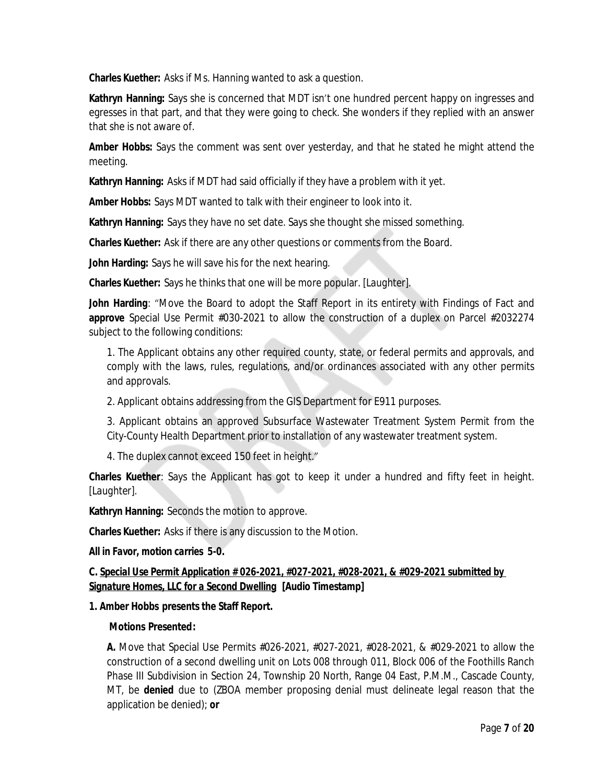**Charles Kuether:** Asks if Ms. Hanning wanted to ask a question.

**Kathryn Hanning:** Says she is concerned that MDT isn't one hundred percent happy on ingresses and egresses in that part, and that they were going to check. She wonders if they replied with an answer that she is not aware of.

**Amber Hobbs:** Says the comment was sent over yesterday, and that he stated he might attend the meeting.

**Kathryn Hanning:** Asks if MDT had said officially if they have a problem with it yet.

**Amber Hobbs:** Says MDT wanted to talk with their engineer to look into it.

**Kathryn Hanning:** Says they have no set date. Says she thought she missed something.

**Charles Kuether:** Ask if there are any other questions or comments from the Board.

**John Harding:** Says he will save his for the next hearing.

**Charles Kuether:** Says he thinks that one will be more popular*. [Laughter].*

**John Harding**: "Move the Board to adopt the Staff Report in its entirety with Findings of Fact and **approve** Special Use Permit #030-2021 to allow the construction of a duplex on Parcel #2032274 subject to the following conditions:

1. The Applicant obtains any other required county, state, or federal permits and approvals, and comply with the laws, rules, regulations, and/or ordinances associated with any other permits and approvals.

2. Applicant obtains addressing from the GIS Department for E911 purposes.

3. Applicant obtains an approved Subsurface Wastewater Treatment System Permit from the City-County Health Department prior to installation of any wastewater treatment system.

4. The duplex cannot exceed 150 feet in height."

**Charles Kuether**: Says the Applicant has got to keep it under a hundred and fifty feet in height. *[Laughter].*

**Kathryn Hanning:** Seconds the motion to approve.

**Charles Kuether:** Asks if there is any discussion to the Motion.

# *All in Favor, motion carries 5-0***.**

# **C.** *Special Use Permit Application # 026-2021, #027-2021, #028-2021, & #029-2021 submitted by Signature Homes, LLC for a Second Dwelling* **[Audio Timestamp]**

# **1. Amber Hobbs presents the Staff Report.**

# **Motions Presented:**

**A.** Move that Special Use Permits #026-2021, #027-2021, #028-2021, & #029-2021 to allow the construction of a second dwelling unit on Lots 008 through 011, Block 006 of the Foothills Ranch Phase III Subdivision in Section 24, Township 20 North, Range 04 East, P.M.M., Cascade County, MT, be **denied** due to (ZBOA member proposing denial must delineate legal reason that the application be denied); **or**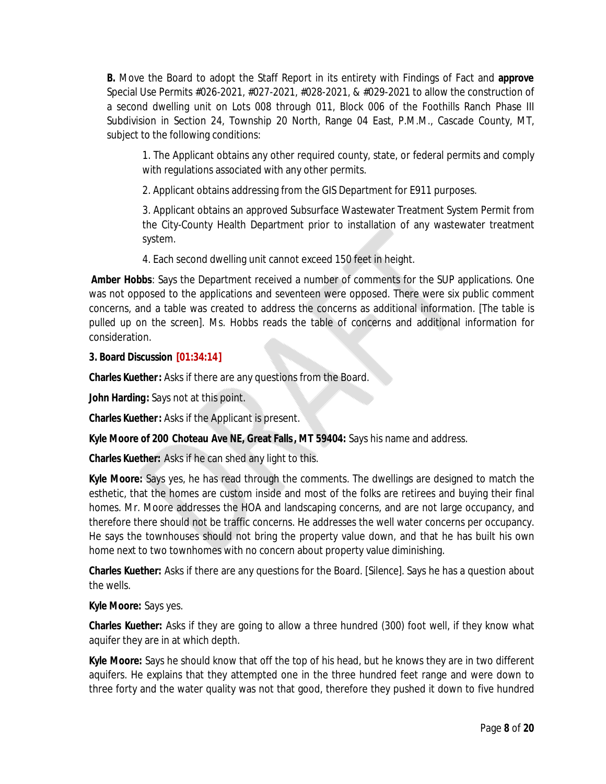**B.** Move the Board to adopt the Staff Report in its entirety with Findings of Fact and **approve** Special Use Permits #026-2021, #027-2021, #028-2021, & #029-2021 to allow the construction of a second dwelling unit on Lots 008 through 011, Block 006 of the Foothills Ranch Phase III Subdivision in Section 24, Township 20 North, Range 04 East, P.M.M., Cascade County, MT, subject to the following conditions:

1. The Applicant obtains any other required county, state, or federal permits and comply with regulations associated with any other permits.

2. Applicant obtains addressing from the GIS Department for E911 purposes.

3. Applicant obtains an approved Subsurface Wastewater Treatment System Permit from the City-County Health Department prior to installation of any wastewater treatment system.

4. Each second dwelling unit cannot exceed 150 feet in height.

**Amber Hobbs**: Says the Department received a number of comments for the SUP applications. One was not opposed to the applications and seventeen were opposed. There were six public comment concerns, and a table was created to address the concerns as additional information*. [The table is pulled up on the screen].* Ms. Hobbs reads the table of concerns and additional information for consideration.

# **3. Board Discussion [01:34:14]**

**Charles Kuether:** Asks if there are any questions from the Board.

**John Harding:** Says not at this point.

**Charles Kuether:** Asks if the Applicant is present.

**Kyle Moore of 200 Choteau Ave NE, Great Falls, MT 59404:** Says his name and address.

**Charles Kuether:** Asks if he can shed any light to this.

**Kyle Moore:** Says yes, he has read through the comments. The dwellings are designed to match the esthetic, that the homes are custom inside and most of the folks are retirees and buying their final homes. Mr. Moore addresses the HOA and landscaping concerns, and are not large occupancy, and therefore there should not be traffic concerns. He addresses the well water concerns per occupancy. He says the townhouses should not bring the property value down, and that he has built his own home next to two townhomes with no concern about property value diminishing.

**Charles Kuether:** Asks if there are any questions for the Board. *[Silence].* Says he has a question about the wells.

# **Kyle Moore:** Says yes.

**Charles Kuether:** Asks if they are going to allow a three hundred (300) foot well, if they know what aquifer they are in at which depth.

**Kyle Moore:** Says he should know that off the top of his head, but he knows they are in two different aquifers. He explains that they attempted one in the three hundred feet range and were down to three forty and the water quality was not that good, therefore they pushed it down to five hundred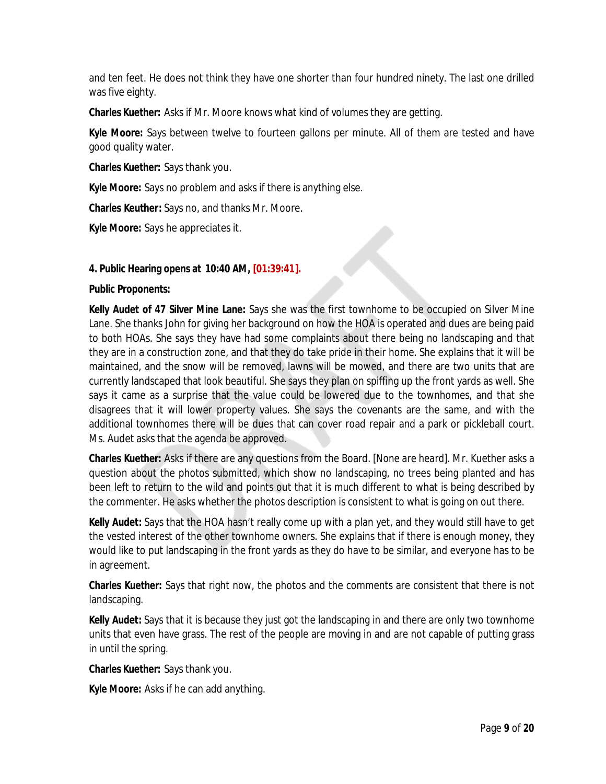and ten feet. He does not think they have one shorter than four hundred ninety. The last one drilled was five eighty.

**Charles Kuether:** Asks if Mr. Moore knows what kind of volumes they are getting.

**Kyle Moore:** Says between twelve to fourteen gallons per minute. All of them are tested and have good quality water.

**Charles Kuether:** Says thank you.

**Kyle Moore:** Says no problem and asks if there is anything else.

**Charles Keuther:** Says no, and thanks Mr. Moore.

**Kyle Moore:** Says he appreciates it.

#### **4. Public Hearing opens at 10:40 AM, [01:39:41].**

#### **Public Proponents:**

**Kelly Audet of 47 Silver Mine Lane:** Says she was the first townhome to be occupied on Silver Mine Lane. She thanks John for giving her background on how the HOA is operated and dues are being paid to both HOAs. She says they have had some complaints about there being no landscaping and that they are in a construction zone, and that they do take pride in their home. She explains that it will be maintained, and the snow will be removed, lawns will be mowed, and there are two units that are currently landscaped that look beautiful. She says they plan on spiffing up the front yards as well. She says it came as a surprise that the value could be lowered due to the townhomes, and that she disagrees that it will lower property values. She says the covenants are the same, and with the additional townhomes there will be dues that can cover road repair and a park or pickleball court. Ms. Audet asks that the agenda be approved.

**Charles Kuether:** Asks if there are any questions from the Board. *[None are heard].* Mr. Kuether asks a question about the photos submitted, which show no landscaping, no trees being planted and has been left to return to the wild and points out that it is much different to what is being described by the commenter. He asks whether the photos description is consistent to what is going on out there.

**Kelly Audet:** Says that the HOA hasn't really come up with a plan yet, and they would still have to get the vested interest of the other townhome owners. She explains that if there is enough money, they would like to put landscaping in the front yards as they do have to be similar, and everyone has to be in agreement.

**Charles Kuether:** Says that right now, the photos and the comments are consistent that there is not landscaping.

**Kelly Audet:** Says that it is because they just got the landscaping in and there are only two townhome units that even have grass. The rest of the people are moving in and are not capable of putting grass in until the spring.

**Charles Kuether:** Says thank you.

**Kyle Moore:** Asks if he can add anything.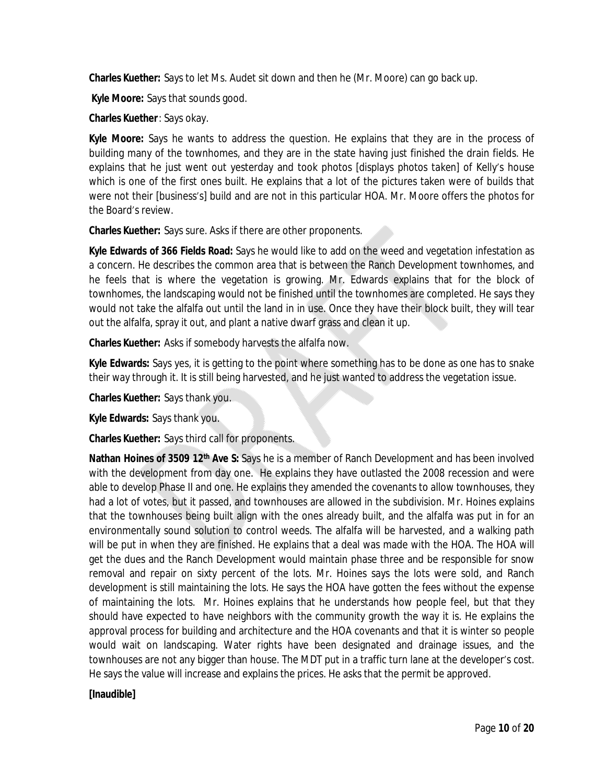**Charles Kuether:** Says to let Ms. Audet sit down and then he (Mr. Moore) can go back up.

**Kyle Moore:** Says that sounds good.

**Charles Kuether**: Says okay.

**Kyle Moore:** Says he wants to address the question. He explains that they are in the process of building many of the townhomes, and they are in the state having just finished the drain fields. He explains that he just went out yesterday and took photos *[displays photos taken]* of Kelly's house which is one of the first ones built. He explains that a lot of the pictures taken were of builds that were not their [business's] build and are not in this particular HOA. Mr. Moore offers the photos for the Board's review.

**Charles Kuether:** Says sure. Asks if there are other proponents.

**Kyle Edwards of 366 Fields Road:** Says he would like to add on the weed and vegetation infestation as a concern. He describes the common area that is between the Ranch Development townhomes, and he feels that is where the vegetation is growing. Mr. Edwards explains that for the block of townhomes, the landscaping would not be finished until the townhomes are completed. He says they would not take the alfalfa out until the land in in use. Once they have their block built, they will tear out the alfalfa, spray it out, and plant a native dwarf grass and clean it up.

**Charles Kuether:** Asks if somebody harvests the alfalfa now.

**Kyle Edwards:** Says yes, it is getting to the point where something has to be done as one has to snake their way through it. It is still being harvested, and he just wanted to address the vegetation issue.

**Charles Kuether:** Says thank you.

**Kyle Edwards:** Says thank you.

**Charles Kuether:** Says third call for proponents.

**Nathan Hoines of 3509 12th Ave S:** Says he is a member of Ranch Development and has been involved with the development from day one. He explains they have outlasted the 2008 recession and were able to develop Phase II and one. He explains they amended the covenants to allow townhouses, they had a lot of votes, but it passed, and townhouses are allowed in the subdivision. Mr. Hoines explains that the townhouses being built align with the ones already built, and the alfalfa was put in for an environmentally sound solution to control weeds. The alfalfa will be harvested, and a walking path will be put in when they are finished. He explains that a deal was made with the HOA. The HOA will get the dues and the Ranch Development would maintain phase three and be responsible for snow removal and repair on sixty percent of the lots. Mr. Hoines says the lots were sold, and Ranch development is still maintaining the lots. He says the HOA have gotten the fees without the expense of maintaining the lots. Mr. Hoines explains that he understands how people feel, but that they should have expected to have neighbors with the community growth the way it is. He explains the approval process for building and architecture and the HOA covenants and that it is winter so people would wait on landscaping. Water rights have been designated and drainage issues, and the townhouses are not any bigger than house. The MDT put in a traffic turn lane at the developer's cost. He says the value will increase and explains the prices. He asks that the permit be approved.

# **[Inaudible]**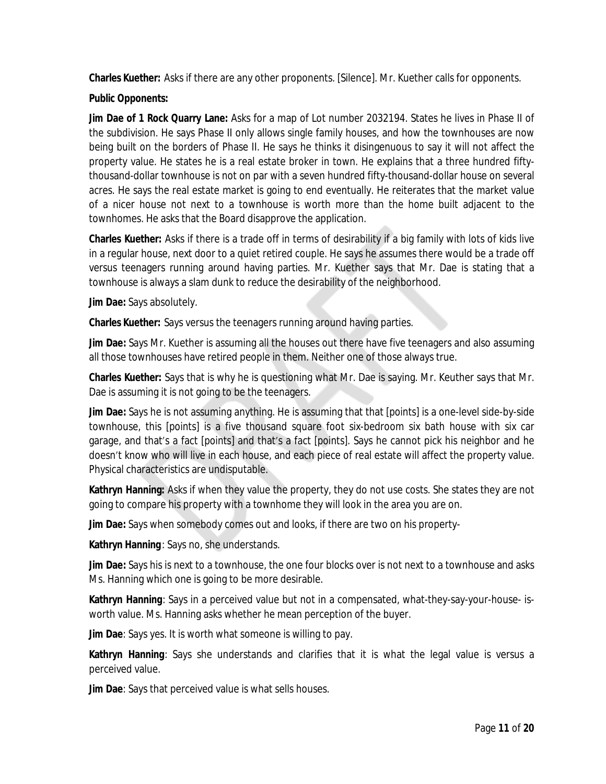**Charles Kuether:** Asks if there are any other proponents. [Silence]. Mr. Kuether calls for opponents.

# **Public Opponents:**

**Jim Dae of 1 Rock Quarry Lane:** Asks for a map of Lot number 2032194. States he lives in Phase II of the subdivision. He says Phase II only allows single family houses, and how the townhouses are now being built on the borders of Phase II. He says he thinks it disingenuous to say it will not affect the property value. He states he is a real estate broker in town. He explains that a three hundred fiftythousand-dollar townhouse is not on par with a seven hundred fifty-thousand-dollar house on several acres. He says the real estate market is going to end eventually. He reiterates that the market value of a nicer house not next to a townhouse is worth more than the home built adjacent to the townhomes. He asks that the Board disapprove the application.

**Charles Kuether:** Asks if there is a trade off in terms of desirability if a big family with lots of kids live in a regular house, next door to a quiet retired couple. He says he assumes there would be a trade off versus teenagers running around having parties. Mr. Kuether says that Mr. Dae is stating that a townhouse is always a slam dunk to reduce the desirability of the neighborhood.

**Jim Dae:** Says absolutely.

**Charles Kuether:** Says versus the teenagers running around having parties.

**Jim Dae:** Says Mr. Kuether is assuming all the houses out there have five teenagers and also assuming all those townhouses have retired people in them. Neither one of those always true.

**Charles Kuether:** Says that is why he is questioning what Mr. Dae is saying. Mr. Keuther says that Mr. Dae is assuming it is not going to be the teenagers.

**Jim Dae:** Says he is not assuming anything. He is assuming that that *[points]* is a one-level side-by-side townhouse, this *[points]* is a five thousand square foot six-bedroom six bath house with six car garage, and that's a fact *[points]* and that's a fact *[points].* Says he cannot pick his neighbor and he doesn't know who will live in each house, and each piece of real estate will affect the property value. Physical characteristics are undisputable.

**Kathryn Hanning:** Asks if when they value the property, they do not use costs. She states they are not going to compare his property with a townhome they will look in the area you are on.

**Jim Dae:** Says when somebody comes out and looks, if there are two on his property-

**Kathryn Hanning**: Says no, she understands.

**Jim Dae:** Says his is next to a townhouse, the one four blocks over is not next to a townhouse and asks Ms. Hanning which one is going to be more desirable.

**Kathryn Hanning**: Says in a perceived value but not in a compensated, what-they-say-your-house- isworth value. Ms. Hanning asks whether he mean perception of the buyer.

**Jim Dae**: Says yes. It is worth what someone is willing to pay.

**Kathryn Hanning**: Says she understands and clarifies that it is what the legal value is versus a perceived value.

**Jim Dae**: Says that perceived value is what sells houses.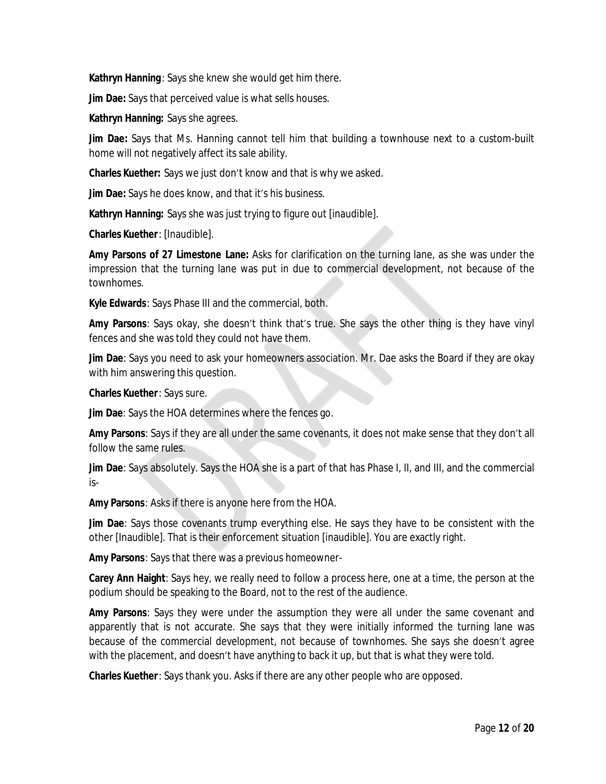**Kathryn Hanning**: Says she knew she would get him there.

**Jim Dae:** Says that perceived value is what sells houses.

**Kathryn Hanning:** Says she agrees.

**Jim Dae:** Says that Ms. Hanning cannot tell him that building a townhouse next to a custom-built home will not negatively affect its sale ability.

**Charles Kuether:** Says we just don't know and that is why we asked.

**Jim Dae:** Says he does know, and that it's his business.

**Kathryn Hanning:** Says she was just trying to figure out [inaudible].

**Charles Kuether**: [Inaudible].

**Amy Parsons of 27 Limestone Lane:** Asks for clarification on the turning lane, as she was under the impression that the turning lane was put in due to commercial development, not because of the townhomes.

**Kyle Edwards**: Says Phase III and the commercial, both.

**Amy Parsons**: Says okay, she doesn't think that's true. She says the other thing is they have vinyl fences and she was told they could not have them.

**Jim Dae**: Says you need to ask your homeowners association. Mr. Dae asks the Board if they are okay with him answering this question.

**Charles Kuether**: Says sure.

**Jim Dae**: Says the HOA determines where the fences go.

**Amy Parsons**: Says if they are all under the same covenants, it does not make sense that they don't all follow the same rules.

**Jim Dae**: Says absolutely. Says the HOA she is a part of that has Phase I, II, and III, and the commercial is-

**Amy Parsons**: Asks if there is anyone here from the HOA.

**Jim Dae**: Says those covenants trump everything else. He says they have to be consistent with the other [Inaudible]. That is their enforcement situation [inaudible]. You are exactly right.

**Amy Parsons**: Says that there was a previous homeowner-

**Carey Ann Haight**: Says hey, we really need to follow a process here, one at a time, the person at the podium should be speaking to the Board, not to the rest of the audience.

**Amy Parsons**: Says they were under the assumption they were all under the same covenant and apparently that is not accurate. She says that they were initially informed the turning lane was because of the commercial development, not because of townhomes. She says she doesn't agree with the placement, and doesn't have anything to back it up, but that is what they were told.

**Charles Kuether**: Says thank you. Asks if there are any other people who are opposed.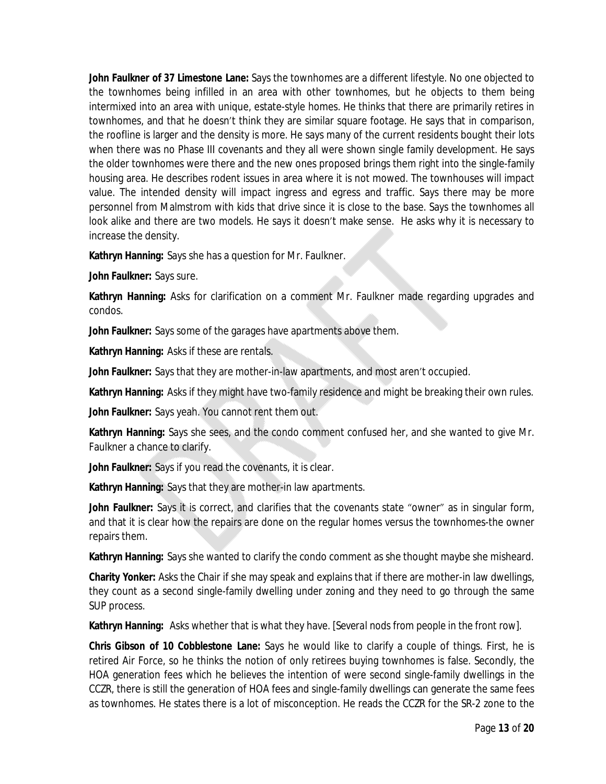**John Faulkner of 37 Limestone Lane:** Says the townhomes are a different lifestyle. No one objected to the townhomes being infilled in an area with other townhomes, but he objects to them being intermixed into an area with unique, estate-style homes. He thinks that there are primarily retires in townhomes, and that he doesn't think they are similar square footage. He says that in comparison, the roofline is larger and the density is more. He says many of the current residents bought their lots when there was no Phase III covenants and they all were shown single family development. He says the older townhomes were there and the new ones proposed brings them right into the single-family housing area. He describes rodent issues in area where it is not mowed. The townhouses will impact value. The intended density will impact ingress and egress and traffic. Says there may be more personnel from Malmstrom with kids that drive since it is close to the base. Says the townhomes all look alike and there are two models. He says it doesn't make sense. He asks why it is necessary to increase the density.

**Kathryn Hanning:** Says she has a question for Mr. Faulkner.

**John Faulkner:** Says sure.

**Kathryn Hanning:** Asks for clarification on a comment Mr. Faulkner made regarding upgrades and condos.

**John Faulkner:** Says some of the garages have apartments above them.

**Kathryn Hanning:** Asks if these are rentals.

**John Faulkner:** Says that they are mother-in-law apartments, and most aren't occupied.

**Kathryn Hanning:** Asks if they might have two-family residence and might be breaking their own rules.

**John Faulkner:** Says yeah. You cannot rent them out.

**Kathryn Hanning:** Says she sees, and the condo comment confused her, and she wanted to give Mr. Faulkner a chance to clarify.

**John Faulkner:** Says if you read the covenants, it is clear.

**Kathryn Hanning:** Says that they are mother-in law apartments.

**John Faulkner:** Says it is correct, and clarifies that the covenants state "owner" as in singular form, and that it is clear how the repairs are done on the regular homes versus the townhomes-the owner repairs them.

**Kathryn Hanning:** Says she wanted to clarify the condo comment as she thought maybe she misheard.

**Charity Yonker:** Asks the Chair if she may speak and explains that if there are mother-in law dwellings, they count as a second single-family dwelling under zoning and they need to go through the same SUP process.

**Kathryn Hanning:** Asks whether that is what they have. *[Several nods from people in the front row].*

**Chris Gibson of 10 Cobblestone Lane:** Says he would like to clarify a couple of things. First, he is retired Air Force, so he thinks the notion of only retirees buying townhomes is false. Secondly, the HOA generation fees which he believes the intention of were second single-family dwellings in the CCZR, there is still the generation of HOA fees and single-family dwellings can generate the same fees as townhomes. He states there is a lot of misconception. He reads the CCZR for the SR-2 zone to the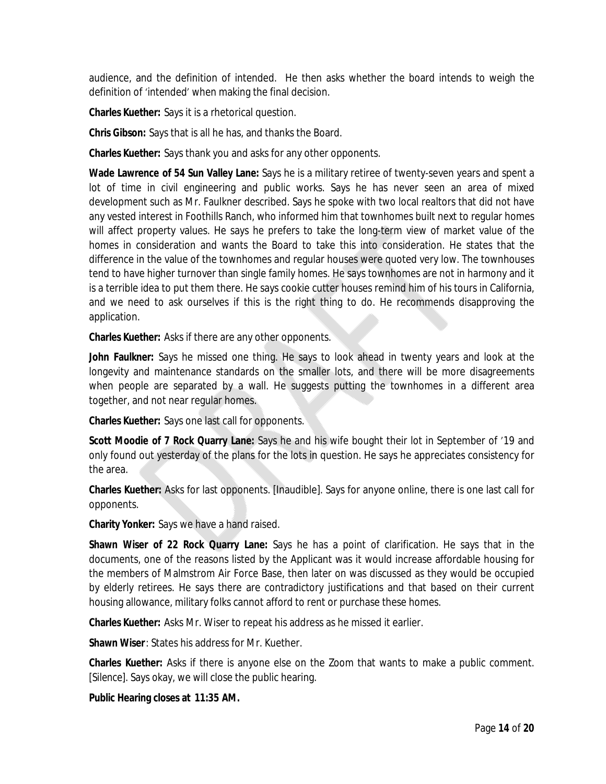audience, and the definition of intended. He then asks whether the board intends to weigh the definition of 'intended' when making the final decision.

**Charles Kuether:** Says it is a rhetorical question.

**Chris Gibson:** Says that is all he has, and thanks the Board.

**Charles Kuether:** Says thank you and asks for any other opponents.

**Wade Lawrence of 54 Sun Valley Lane:** Says he is a military retiree of twenty-seven years and spent a lot of time in civil engineering and public works. Says he has never seen an area of mixed development such as Mr. Faulkner described. Says he spoke with two local realtors that did not have any vested interest in Foothills Ranch, who informed him that townhomes built next to regular homes will affect property values. He says he prefers to take the long-term view of market value of the homes in consideration and wants the Board to take this into consideration. He states that the difference in the value of the townhomes and regular houses were quoted very low. The townhouses tend to have higher turnover than single family homes. He says townhomes are not in harmony and it is a terrible idea to put them there. He says cookie cutter houses remind him of his tours in California, and we need to ask ourselves if this is the right thing to do. He recommends disapproving the application.

**Charles Kuether:** Asks if there are any other opponents.

**John Faulkner:** Says he missed one thing. He says to look ahead in twenty years and look at the longevity and maintenance standards on the smaller lots, and there will be more disagreements when people are separated by a wall. He suggests putting the townhomes in a different area together, and not near regular homes.

**Charles Kuether:** Says one last call for opponents.

**Scott Moodie of 7 Rock Quarry Lane:** Says he and his wife bought their lot in September of '19 and only found out yesterday of the plans for the lots in question. He says he appreciates consistency for the area.

**Charles Kuether:** Asks for last opponents. [Inaudible]. Says for anyone online, there is one last call for opponents.

**Charity Yonker:** Says we have a hand raised.

**Shawn Wiser of 22 Rock Quarry Lane:** Says he has a point of clarification. He says that in the documents, one of the reasons listed by the Applicant was it would increase affordable housing for the members of Malmstrom Air Force Base, then later on was discussed as they would be occupied by elderly retirees. He says there are contradictory justifications and that based on their current housing allowance, military folks cannot afford to rent or purchase these homes.

**Charles Kuether:** Asks Mr. Wiser to repeat his address as he missed it earlier.

**Shawn Wiser**: States his address for Mr. Kuether.

**Charles Kuether:** Asks if there is anyone else on the Zoom that wants to make a public comment. *[Silence].* Says okay, we will close the public hearing.

**Public Hearing closes at 11:35 AM.**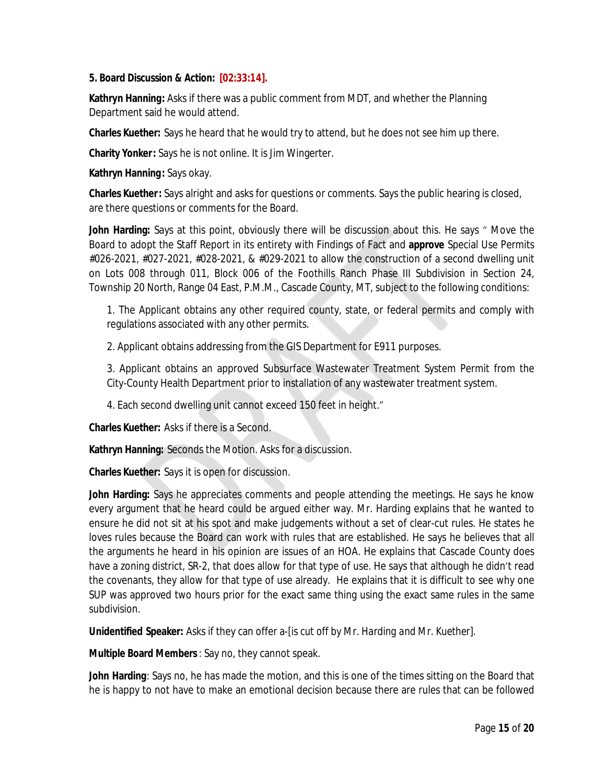#### **5. Board Discussion & Action: [02:33:14].**

**Kathryn Hanning:** Asks if there was a public comment from MDT, and whether the Planning Department said he would attend.

**Charles Kuether:** Says he heard that he would try to attend, but he does not see him up there.

**Charity Yonker:** Says he is not online. It is Jim Wingerter.

**Kathryn Hanning:** Says okay.

**Charles Kuether:** Says alright and asks for questions or comments. Says the public hearing is closed, are there questions or comments for the Board.

**John Harding:** Says at this point, obviously there will be discussion about this. He says " Move the Board to adopt the Staff Report in its entirety with Findings of Fact and **approve** Special Use Permits #026-2021, #027-2021, #028-2021, & #029-2021 to allow the construction of a second dwelling unit on Lots 008 through 011, Block 006 of the Foothills Ranch Phase III Subdivision in Section 24, Township 20 North, Range 04 East, P.M.M., Cascade County, MT, subject to the following conditions:

1. The Applicant obtains any other required county, state, or federal permits and comply with regulations associated with any other permits.

2. Applicant obtains addressing from the GIS Department for E911 purposes.

3. Applicant obtains an approved Subsurface Wastewater Treatment System Permit from the City-County Health Department prior to installation of any wastewater treatment system.

4. Each second dwelling unit cannot exceed 150 feet in height."

**Charles Kuether:** Asks if there is a Second.

**Kathryn Hanning:** Seconds the Motion. Asks for a discussion.

**Charles Kuether:** Says it is open for discussion.

**John Harding:** Says he appreciates comments and people attending the meetings. He says he know every argument that he heard could be argued either way. Mr. Harding explains that he wanted to ensure he did not sit at his spot and make judgements without a set of clear-cut rules. He states he loves rules because the Board can work with rules that are established. He says he believes that all the arguments he heard in his opinion are issues of an HOA. He explains that Cascade County does have a zoning district, SR-2, that does allow for that type of use. He says that although he didn't read the covenants, they allow for that type of use already. He explains that it is difficult to see why one SUP was approved two hours prior for the exact same thing using the exact same rules in the same subdivision.

**Unidentified Speaker:** Asks if they can offer a*-[is cut off by Mr. Harding and Mr. Kuether].*

**Multiple Board Members**: Say no, they cannot speak.

**John Harding**: Says no, he has made the motion, and this is one of the times sitting on the Board that he is happy to not have to make an emotional decision because there are rules that can be followed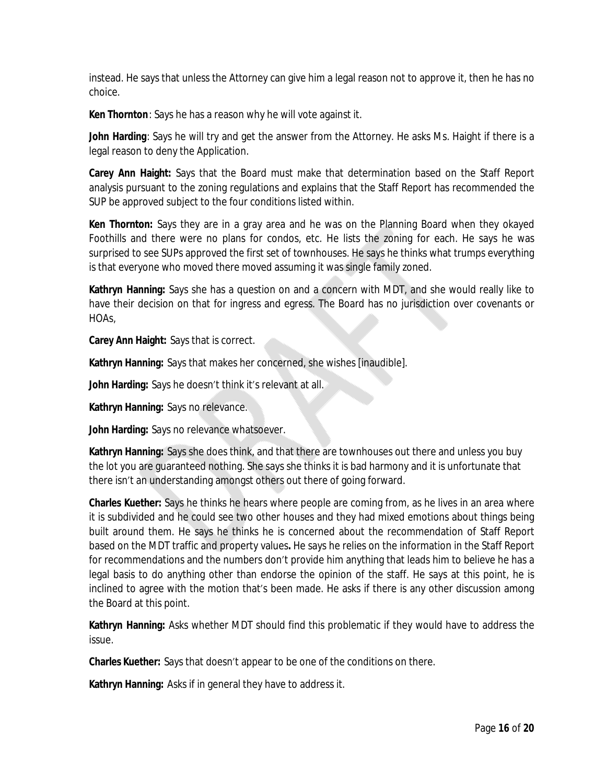instead. He says that unless the Attorney can give him a legal reason not to approve it, then he has no choice.

**Ken Thornton**: Says he has a reason why he will vote against it.

**John Harding**: Says he will try and get the answer from the Attorney. He asks Ms. Haight if there is a legal reason to deny the Application.

**Carey Ann Haight:** Says that the Board must make that determination based on the Staff Report analysis pursuant to the zoning regulations and explains that the Staff Report has recommended the SUP be approved subject to the four conditions listed within.

**Ken Thornton:** Says they are in a gray area and he was on the Planning Board when they okayed Foothills and there were no plans for condos, etc. He lists the zoning for each. He says he was surprised to see SUPs approved the first set of townhouses. He says he thinks what trumps everything is that everyone who moved there moved assuming it was single family zoned.

**Kathryn Hanning:** Says she has a question on and a concern with MDT, and she would really like to have their decision on that for ingress and egress. The Board has no jurisdiction over covenants or HOAs,

**Carey Ann Haight:** Says that is correct.

**Kathryn Hanning:** Says that makes her concerned, she wishes [inaudible].

**John Harding:** Says he doesn't think it's relevant at all.

**Kathryn Hanning:** Says no relevance.

**John Harding:** Says no relevance whatsoever.

**Kathryn Hanning:** Says she does think, and that there are townhouses out there and unless you buy the lot you are guaranteed nothing. She says she thinks it is bad harmony and it is unfortunate that there isn't an understanding amongst others out there of going forward.

**Charles Kuether:** Says he thinks he hears where people are coming from, as he lives in an area where it is subdivided and he could see two other houses and they had mixed emotions about things being built around them. He says he thinks he is concerned about the recommendation of Staff Report based on the MDT traffic and property values**.** He says he relies on the information in the Staff Report for recommendations and the numbers don't provide him anything that leads him to believe he has a legal basis to do anything other than endorse the opinion of the staff. He says at this point, he is inclined to agree with the motion that's been made. He asks if there is any other discussion among the Board at this point.

**Kathryn Hanning:** Asks whether MDT should find this problematic if they would have to address the issue.

**Charles Kuether:** Says that doesn't appear to be one of the conditions on there.

**Kathryn Hanning:** Asks if in general they have to address it.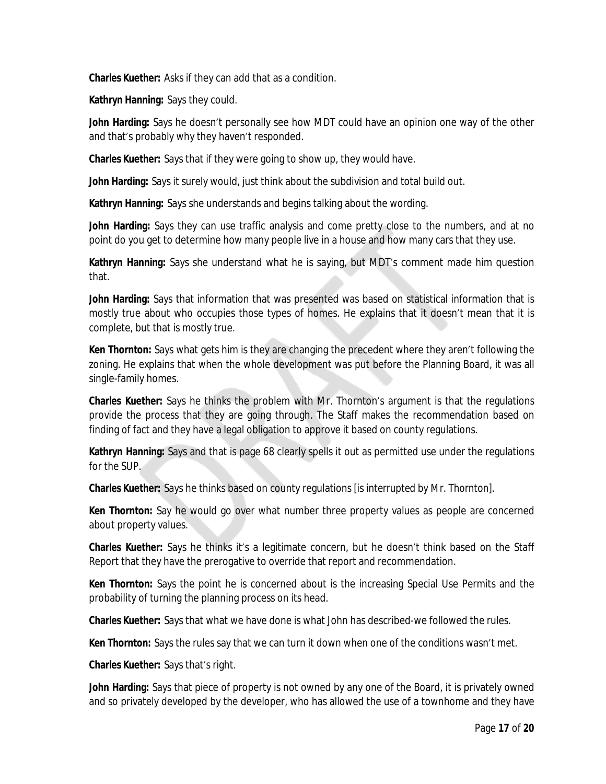**Charles Kuether:** Asks if they can add that as a condition.

**Kathryn Hanning:** Says they could.

**John Harding:** Says he doesn't personally see how MDT could have an opinion one way of the other and that's probably why they haven't responded.

**Charles Kuether:** Says that if they were going to show up, they would have.

**John Harding:** Says it surely would, just think about the subdivision and total build out.

**Kathryn Hanning:** Says she understands and begins talking about the wording.

**John Harding:** Says they can use traffic analysis and come pretty close to the numbers, and at no point do you get to determine how many people live in a house and how many cars that they use.

**Kathryn Hanning:** Says she understand what he is saying, but MDT's comment made him question that.

**John Harding:** Says that information that was presented was based on statistical information that is mostly true about who occupies those types of homes. He explains that it doesn't mean that it is complete, but that is mostly true.

**Ken Thornton:** Says what gets him is they are changing the precedent where they aren't following the zoning. He explains that when the whole development was put before the Planning Board, it was all single-family homes.

**Charles Kuether:** Says he thinks the problem with Mr. Thornton's argument is that the regulations provide the process that they are going through. The Staff makes the recommendation based on finding of fact and they have a legal obligation to approve it based on county regulations.

**Kathryn Hanning:** Says and that is page 68 clearly spells it out as permitted use under the regulations for the SUP.

**Charles Kuether:** Says he thinks based on county regulations *[is interrupted by Mr. Thornton].*

**Ken Thornton:** Say he would go over what number three property values as people are concerned about property values.

**Charles Kuether:** Says he thinks it's a legitimate concern, but he doesn't think based on the Staff Report that they have the prerogative to override that report and recommendation.

**Ken Thornton:** Says the point he is concerned about is the increasing Special Use Permits and the probability of turning the planning process on its head.

**Charles Kuether:** Says that what we have done is what John has described-we followed the rules.

**Ken Thornton:** Says the rules say that we can turn it down when one of the conditions wasn't met.

**Charles Kuether:** Says that's right.

**John Harding:** Says that piece of property is not owned by any one of the Board, it is privately owned and so privately developed by the developer, who has allowed the use of a townhome and they have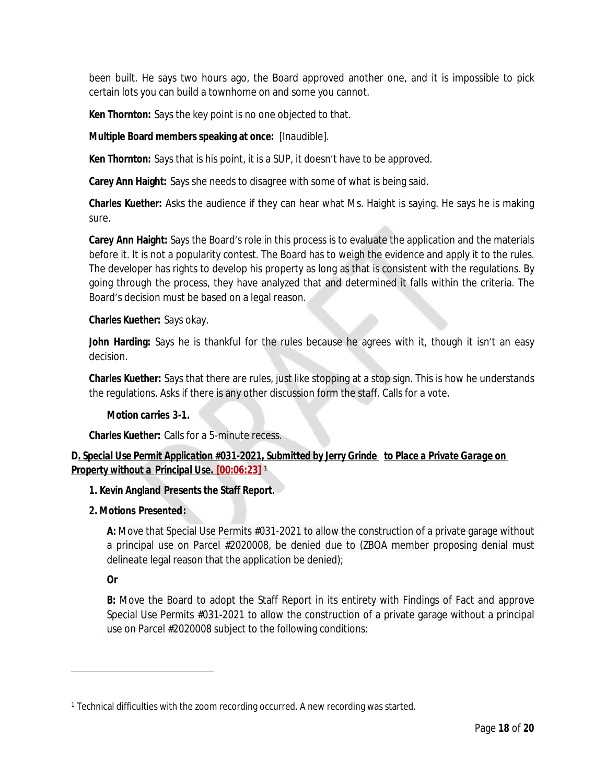been built. He says two hours ago, the Board approved another one, and it is impossible to pick certain lots you can build a townhome on and some you cannot.

**Ken Thornton:** Says the key point is no one objected to that.

# **Multiple Board members speaking at once:** [Inaudible].

**Ken Thornton:** Says that is his point, it is a SUP, it doesn't have to be approved.

**Carey Ann Haight:** Says she needs to disagree with some of what is being said.

**Charles Kuether:** Asks the audience if they can hear what Ms. Haight is saying. He says he is making sure.

**Carey Ann Haight:** Says the Board's role in this process is to evaluate the application and the materials before it. It is not a popularity contest. The Board has to weigh the evidence and apply it to the rules. The developer has rights to develop his property as long as that is consistent with the regulations. By going through the process, they have analyzed that and determined it falls within the criteria. The Board's decision must be based on a legal reason.

# **Charles Kuether:** Says okay.

**John Harding:** Says he is thankful for the rules because he agrees with it, though it isn't an easy decision.

**Charles Kuether:** Says that there are rules, just like stopping at a stop sign. This is how he understands the regulations. Asks if there is any other discussion form the staff. Calls for a vote.

# *Motion carries 3-1.*

**Charles Kuether:** Calls for a 5-minute recess.

# **D***. Special Use Permit Application #031-2021, Submitted by Jerry Grinde to Place a Private Garage on Property without a Principal Use.* **[00:06:23]** <sup>1</sup>

# **1. Kevin Angland Presents the Staff Report.**

**2. Motions Presented:**

**A:** Move that Special Use Permits #031-2021 to allow the construction of a private garage without a principal use on Parcel #2020008, be denied due to (ZBOA member proposing denial must delineate legal reason that the application be denied);

# **Or**

**B:** Move the Board to adopt the Staff Report in its entirety with Findings of Fact and approve Special Use Permits #031-2021 to allow the construction of a private garage without a principal use on Parcel #2020008 subject to the following conditions:

<sup>&</sup>lt;sup>1</sup> Technical difficulties with the zoom recording occurred. A new recording was started.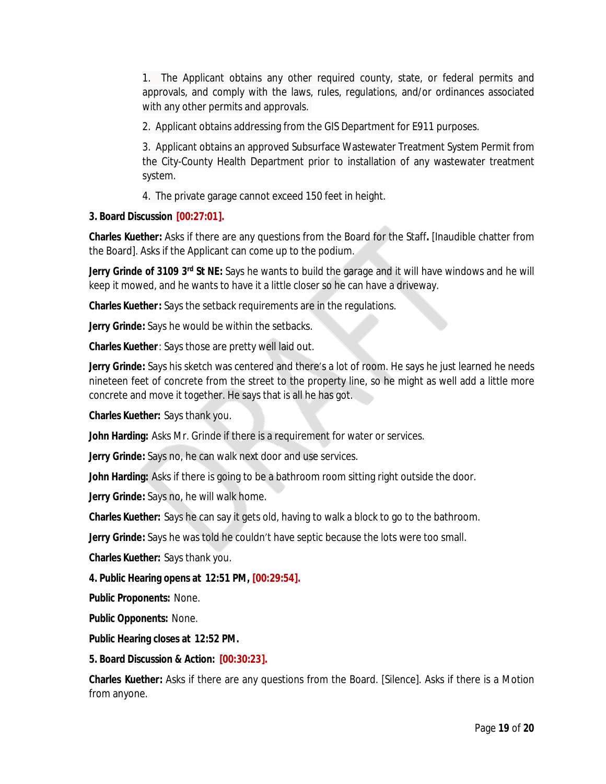1. The Applicant obtains any other required county, state, or federal permits and approvals, and comply with the laws, rules, regulations, and/or ordinances associated with any other permits and approvals.

2. Applicant obtains addressing from the GIS Department for E911 purposes.

3. Applicant obtains an approved Subsurface Wastewater Treatment System Permit from the City-County Health Department prior to installation of any wastewater treatment system.

4. The private garage cannot exceed 150 feet in height.

# **3. Board Discussion [00:27:01].**

**Charles Kuether:** Asks if there are any questions from the Board for the Staff**.** [Inaudible chatter from the Board]. Asks if the Applicant can come up to the podium.

**Jerry Grinde of 3109 3<sup>rd</sup> St NE:** Says he wants to build the garage and it will have windows and he will keep it mowed, and he wants to have it a little closer so he can have a driveway.

**Charles Kuether:** Says the setback requirements are in the regulations.

**Jerry Grinde:** Says he would be within the setbacks.

**Charles Kuether**: Says those are pretty well laid out.

**Jerry Grinde:** Says his sketch was centered and there's a lot of room. He says he just learned he needs nineteen feet of concrete from the street to the property line, so he might as well add a little more concrete and move it together. He says that is all he has got.

**Charles Kuether:** Says thank you.

**John Harding:** Asks Mr. Grinde if there is a requirement for water or services.

**Jerry Grinde:** Says no, he can walk next door and use services.

**John Harding:** Asks if there is going to be a bathroom room sitting right outside the door.

**Jerry Grinde:** Says no, he will walk home.

**Charles Kuether:** Says he can say it gets old, having to walk a block to go to the bathroom.

**Jerry Grinde:** Says he was told he couldn't have septic because the lots were too small.

**Charles Kuether:** Says thank you.

**4. Public Hearing opens at 12:51 PM, [00:29:54].**

**Public Proponents:** None.

**Public Opponents:** None.

**Public Hearing closes at 12:52 PM.**

**5. Board Discussion & Action: [00:30:23].**

**Charles Kuether:** Asks if there are any questions from the Board. [Silence]. Asks if there is a Motion from anyone.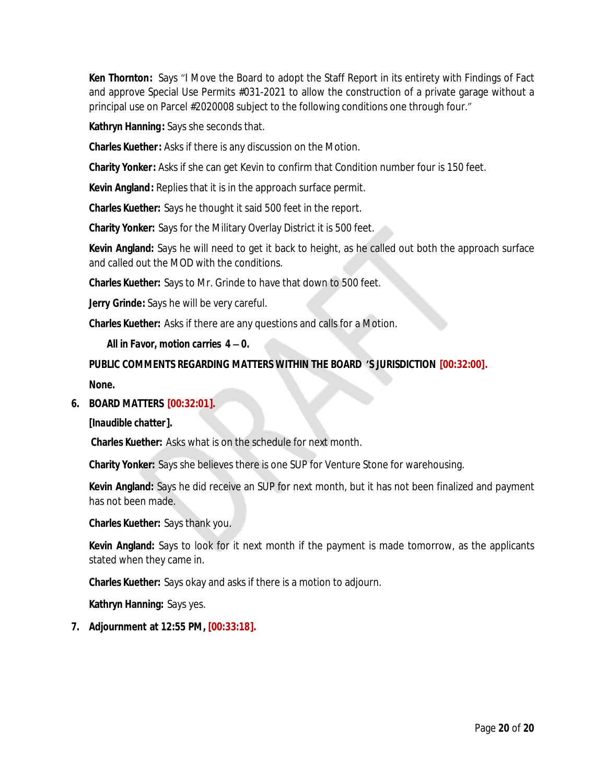**Ken Thornton:** Says "I Move the Board to adopt the Staff Report in its entirety with Findings of Fact and approve Special Use Permits #031-2021 to allow the construction of a private garage without a principal use on Parcel #2020008 subject to the following conditions one through four."

**Kathryn Hanning:** Says she seconds that.

**Charles Kuether:** Asks if there is any discussion on the Motion.

**Charity Yonker:** Asks if she can get Kevin to confirm that Condition number four is 150 feet.

**Kevin Angland:** Replies that it is in the approach surface permit.

**Charles Kuether:** Says he thought it said 500 feet in the report.

**Charity Yonker:** Says for the Military Overlay District it is 500 feet.

**Kevin Angland:** Says he will need to get it back to height, as he called out both the approach surface and called out the MOD with the conditions.

**Charles Kuether:** Says to Mr. Grinde to have that down to 500 feet.

**Jerry Grinde:** Says he will be very careful.

**Charles Kuether:** Asks if there are any questions and calls for a Motion.

# *All in Favor, motion carries 4 – 0.*

**PUBLIC COMMENTS REGARDING MATTERS WITHIN THE BOARD** '**S JURISDICTION [00:32:00].**

**None.**

# **6. BOARD MATTERS [00:32:01].**

**[***Inaudible chatter***].**

**Charles Kuether:** Asks what is on the schedule for next month.

**Charity Yonker:** Says she believes there is one SUP for Venture Stone for warehousing.

**Kevin Angland:** Says he did receive an SUP for next month, but it has not been finalized and payment has not been made.

**Charles Kuether:** Says thank you.

**Kevin Angland:** Says to look for it next month if the payment is made tomorrow, as the applicants stated when they came in.

**Charles Kuether:** Says okay and asks if there is a motion to adjourn.

**Kathryn Hanning:** Says yes.

**7. Adjournment at 12:55 PM, [00:33:18].**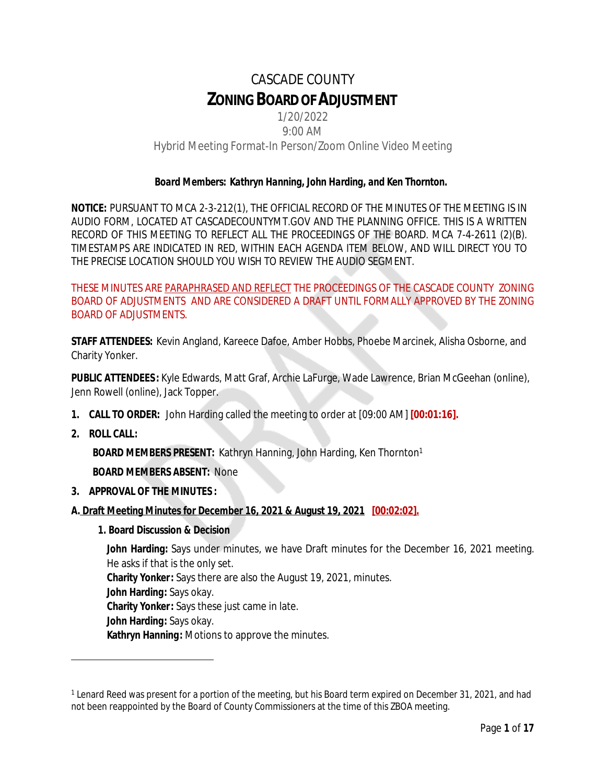# CASCADE COUNTY **ZONINGBOARDOFADJUSTMENT**

# 1/20/2022 9:00 AM Hybrid Meeting Format-In Person/Zoom Online Video Meeting

# *Board Members: Kathryn Hanning, John Harding, and Ken Thornton.*

**NOTICE:** PURSUANT TO MCA 2-3-212(1), THE OFFICIAL RECORD OF THE MINUTES OF THE MEETING IS IN AUDIO FORM, LOCATED AT CASCADECOUNTYMT.GOV AND THE PLANNING OFFICE. THIS IS A WRITTEN RECORD OF THIS MEETING TO REFLECT ALL THE PROCEEDINGS OF THE BOARD. MCA 7-4-2611 (2)(B). TIMESTAMPS ARE INDICATED IN RED, WITHIN EACH AGENDA ITEM BELOW, AND WILL DIRECT YOU TO THE PRECISE LOCATION SHOULD YOU WISH TO REVIEW THE AUDIO SEGMENT.

THESE MINUTES ARE PARAPHRASED AND REFLECT THE PROCEEDINGS OF THE CASCADE COUNTY ZONING BOARD OF ADJUSTMENTS AND ARE CONSIDERED A DRAFT UNTIL FORMALLY APPROVED BY THE ZONING BOARD OF ADJUSTMENTS.

**STAFF ATTENDEES:** Kevin Angland, Kareece Dafoe, Amber Hobbs, Phoebe Marcinek, Alisha Osborne, and Charity Yonker.

**PUBLIC ATTENDEES :** Kyle Edwards, Matt Graf, Archie LaFurge, Wade Lawrence, Brian McGeehan (online), Jenn Rowell (online), Jack Topper.

- **1. CALL TO ORDER:** John Harding called the meeting to order at [09:00 AM] **[00:01:16].**
- **2. ROLL CALL:**

**BOARD MEMBERS PRESENT:** Kathryn Hanning, John Harding, Ken Thornton<sup>1</sup>

**BOARD MEMBERS ABSENT:** None

**3. APPROVAL OF THE MINUTES :**

# **A. Draft Meeting Minutes for December 16, 2021 & August 19, 2021 [00:02:02].**

**1. Board Discussion & Decision**

**John Harding:** Says under minutes, we have Draft minutes for the December 16, 2021 meeting. He asks if that is the only set. **Charity Yonker:** Says there are also the August 19, 2021, minutes. **John Harding:** Says okay. **Charity Yonker:** Says these just came in late. **John Harding:** Says okay. **Kathryn Hanning:** Motions to approve the minutes.

<sup>1</sup> Lenard Reed was present for a portion of the meeting, but his Board term expired on December 31, 2021, and had not been reappointed by the Board of County Commissioners at the time of this ZBOA meeting.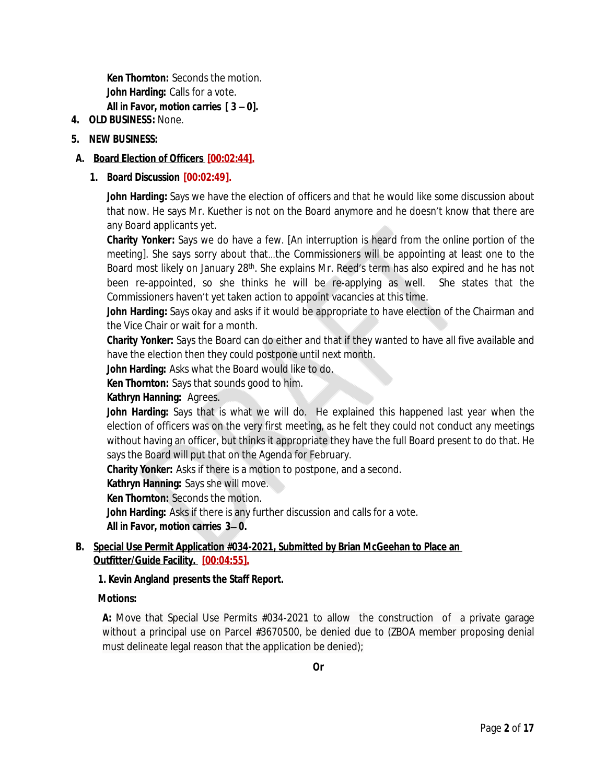**Ken Thornton:** Seconds the motion. **John Harding:** Calls for a vote. *All in Favor, motion carries [ 3 – 0].*

**4. OLD BUSINESS:** None.

#### **5. NEW BUSINESS:**

- **A. Board Election of Officers [00:02:44].**
	- **1. Board Discussion [00:02:49].**

**John Harding:** Says we have the election of officers and that he would like some discussion about that now. He says Mr. Kuether is not on the Board anymore and he doesn't know that there are any Board applicants yet.

**Charity Yonker:** Says we do have a few. [*An interruption is heard from the online portion of the meeting*]. She says sorry about that…the Commissioners will be appointing at least one to the Board most likely on January 28<sup>th</sup>. She explains Mr. Reed's term has also expired and he has not been re-appointed, so she thinks he will be re-applying as well. She states that the Commissioners haven't yet taken action to appoint vacancies at this time.

**John Harding:** Says okay and asks if it would be appropriate to have election of the Chairman and the Vice Chair or wait for a month.

**Charity Yonker:** Says the Board can do either and that if they wanted to have all five available and have the election then they could postpone until next month.

**John Harding:** Asks what the Board would like to do.

**Ken Thornton:** Says that sounds good to him.

**Kathryn Hanning:** Agrees.

**John Harding:** Says that is what we will do. He explained this happened last year when the election of officers was on the very first meeting, as he felt they could not conduct any meetings without having an officer, but thinks it appropriate they have the full Board present to do that. He says the Board will put that on the Agenda for February.

**Charity Yonker:** Asks if there is a motion to postpone, and a second.

**Kathryn Hanning:** Says she will move.

**Ken Thornton:** Seconds the motion.

**John Harding:** Asks if there is any further discussion and calls for a vote.

*All in Favor, motion carries 3– 0.*

# **B. Special Use Permit Application #034-2021, Submitted by Brian McGeehan to Place an Outfitter/Guide Facility. [00:04:55].**

#### **1. Kevin Angland presents the Staff Report.**

#### **Motions:**

**A:** Move that Special Use Permits #034-2021 to allow the construction of a private garage without a principal use on Parcel #3670500, be denied due to (ZBOA member proposing denial must delineate legal reason that the application be denied);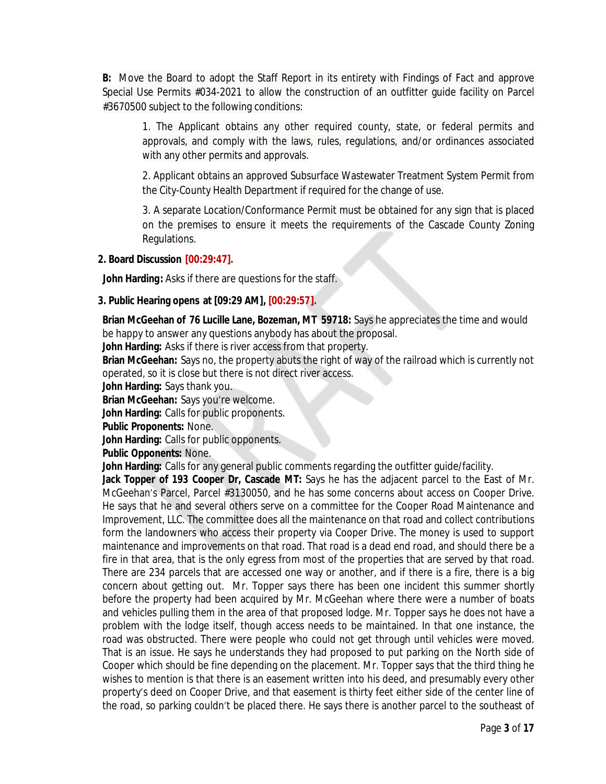**B:** Move the Board to adopt the Staff Report in its entirety with Findings of Fact and approve Special Use Permits #034-2021 to allow the construction of an outfitter guide facility on Parcel #3670500 subject to the following conditions:

1. The Applicant obtains any other required county, state, or federal permits and approvals, and comply with the laws, rules, regulations, and/or ordinances associated with any other permits and approvals.

2. Applicant obtains an approved Subsurface Wastewater Treatment System Permit from the City-County Health Department if required for the change of use.

3. A separate Location/Conformance Permit must be obtained for any sign that is placed on the premises to ensure it meets the requirements of the Cascade County Zoning Regulations.

#### **2. Board Discussion [00:29:47].**

 **John Harding:** Asks if there are questions for the staff.

#### **3. Public Hearing opens at [09:29 AM], [00:29:57].**

**Brian McGeehan of 76 Lucille Lane, Bozeman, MT 59718:** Says he appreciates the time and would be happy to answer any questions anybody has about the proposal.

**John Harding:** Asks if there is river access from that property.

**Brian McGeehan:** Says no, the property abuts the right of way of the railroad which is currently not operated, so it is close but there is not direct river access.

**John Harding:** Says thank you.

**Brian McGeehan:** Says you're welcome.

**John Harding:** Calls for public proponents.

**Public Proponents:** None.

**John Harding:** Calls for public opponents.

**Public Opponents:** None.

John Harding: Calls for any general public comments regarding the outfitter guide/facility.

**Jack Topper of 193 Cooper Dr, Cascade MT:** Says he has the adjacent parcel to the East of Mr. McGeehan's Parcel, Parcel #3130050, and he has some concerns about access on Cooper Drive. He says that he and several others serve on a committee for the Cooper Road Maintenance and Improvement, LLC. The committee does all the maintenance on that road and collect contributions form the landowners who access their property via Cooper Drive. The money is used to support maintenance and improvements on that road. That road is a dead end road, and should there be a fire in that area, that is the only egress from most of the properties that are served by that road. There are 234 parcels that are accessed one way or another, and if there is a fire, there is a big concern about getting out. Mr. Topper says there has been one incident this summer shortly before the property had been acquired by Mr. McGeehan where there were a number of boats and vehicles pulling them in the area of that proposed lodge. Mr. Topper says he does not have a problem with the lodge itself, though access needs to be maintained. In that one instance, the road was obstructed. There were people who could not get through until vehicles were moved. That is an issue. He says he understands they had proposed to put parking on the North side of Cooper which should be fine depending on the placement. Mr. Topper says that the third thing he wishes to mention is that there is an easement written into his deed, and presumably every other property's deed on Cooper Drive, and that easement is thirty feet either side of the center line of the road, so parking couldn't be placed there. He says there is another parcel to the southeast of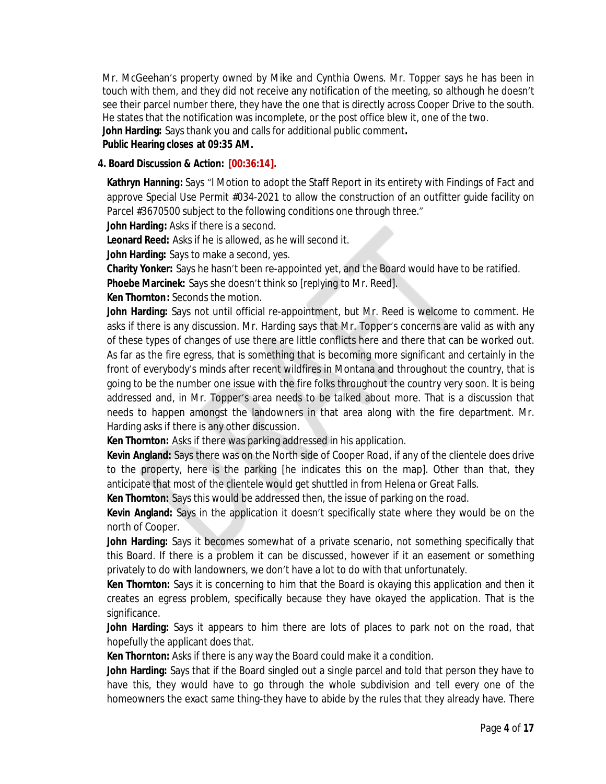Mr. McGeehan's property owned by Mike and Cynthia Owens. Mr. Topper says he has been in touch with them, and they did not receive any notification of the meeting, so although he doesn't see their parcel number there, they have the one that is directly across Cooper Drive to the south. He states that the notification was incomplete, or the post office blew it, one of the two. **John Harding:** Says thank you and calls for additional public comment**.**

# **Public Hearing closes at 09:35 AM.**

# **4. Board Discussion & Action: [00:36:14].**

**Kathryn Hanning:** Says "I Motion to adopt the Staff Report in its entirety with Findings of Fact and approve Special Use Permit #034-2021 to allow the construction of an outfitter guide facility on Parcel #3670500 subject to the following conditions one through three."

**John Harding:** Asks if there is a second.

**Leonard Reed:** Asks if he is allowed, as he will second it.

**John Harding:** Says to make a second, yes.

**Charity Yonker:** Says he hasn't been re-appointed yet, and the Board would have to be ratified.

**Phoebe Marcinek:** Says she doesn't think so [*replying to Mr. Reed*].

**Ken Thornton:** Seconds the motion.

**John Harding:** Says not until official re-appointment, but Mr. Reed is welcome to comment. He asks if there is any discussion. Mr. Harding says that Mr. Topper's concerns are valid as with any of these types of changes of use there are little conflicts here and there that can be worked out. As far as the fire egress, that is something that is becoming more significant and certainly in the front of everybody's minds after recent wildfires in Montana and throughout the country, that is going to be the number one issue with the fire folks throughout the country very soon. It is being addressed and, in Mr. Topper's area needs to be talked about more. That is a discussion that needs to happen amongst the landowners in that area along with the fire department. Mr. Harding asks if there is any other discussion.

**Ken Thornton:** Asks if there was parking addressed in his application.

**Kevin Angland:** Says there was on the North side of Cooper Road, if any of the clientele does drive to the property, here is the parking [he indicates this on the map]. Other than that, they anticipate that most of the clientele would get shuttled in from Helena or Great Falls.

**Ken Thornton:** Says this would be addressed then, the issue of parking on the road.

**Kevin Angland:** Says in the application it doesn't specifically state where they would be on the north of Cooper.

**John Harding:** Says it becomes somewhat of a private scenario, not something specifically that this Board. If there is a problem it can be discussed, however if it an easement or something privately to do with landowners, we don't have a lot to do with that unfortunately.

**Ken Thornton:** Says it is concerning to him that the Board is okaying this application and then it creates an egress problem, specifically because they have okayed the application. That is the significance.

**John Harding:** Says it appears to him there are lots of places to park not on the road, that hopefully the applicant does that.

**Ken Thornton:** Asks if there is any way the Board could make it a condition.

**John Harding:** Says that if the Board singled out a single parcel and told that person they have to have this, they would have to go through the whole subdivision and tell every one of the homeowners the exact same thing-they have to abide by the rules that they already have. There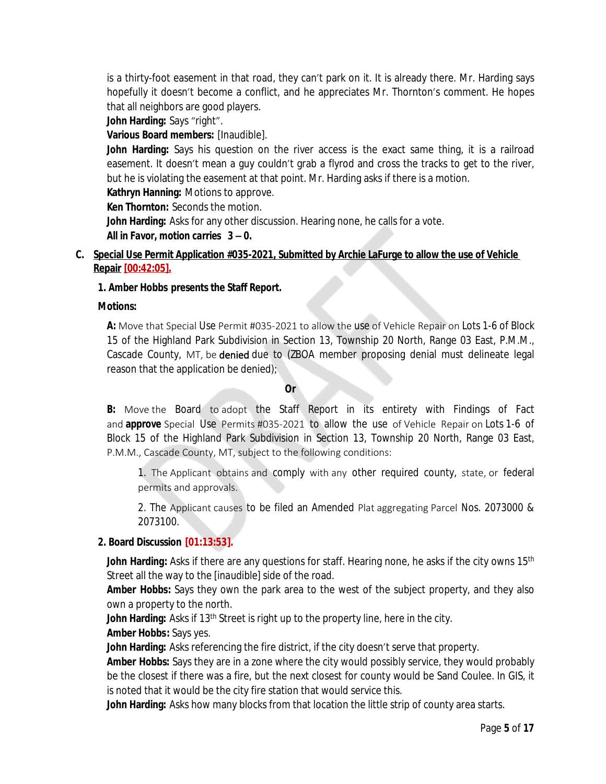is a thirty-foot easement in that road, they can't park on it. It is already there. Mr. Harding says hopefully it doesn't become a conflict, and he appreciates Mr. Thornton's comment. He hopes that all neighbors are good players.

**John Harding:** Says "right".

**Various Board members:** [Inaudible].

**John Harding:** Says his question on the river access is the exact same thing, it is a railroad easement. It doesn't mean a guy couldn't grab a flyrod and cross the tracks to get to the river, but he is violating the easement at that point. Mr. Harding asks if there is a motion.

**Kathryn Hanning:** Motions to approve.

**Ken Thornton:** Seconds the motion.

**John Harding:** Asks for any other discussion. Hearing none, he calls for a vote.

*All in Favor, motion carries 3 – 0.*

# **C. Special Use Permit Application #035-2021, Submitted by Archie LaFurge to allow the use of Vehicle Repair [00:42:05].**

#### **1. Amber Hobbs presents the Staff Report.**

#### **Motions:**

**A:** Move that Special Use Permit #035-2021 to allow the use of Vehicle Repair on Lots 1-6 of Block 15 of the Highland Park Subdivision in Section 13, Township 20 North, Range 03 East, P.M.M., Cascade County, MT, be denied due to (ZBOA member proposing denial must delineate legal reason that the application be denied);

#### **Or**

**B:** Move the Board to adopt the Staff Report in its entirety with Findings of Fact and **approve** Special Use Permits #035-2021 to allow the use of Vehicle Repair on Lots 1-6 of Block 15 of the Highland Park Subdivision in Section 13, Township 20 North, Range 03 East, P.M.M., Cascade County, MT, subject to the following conditions:

1. The Applicant obtains and comply with any other required county, state, or federal permits and approvals.

2. The Applicant causes to be filed an Amended Plat aggregating Parcel Nos. 2073000 & 2073100.

# **2. Board Discussion [01:13:53].**

**John Harding:** Asks if there are any questions for staff. Hearing none, he asks if the city owns 15th Street all the way to the [*inaudible*] side of the road.

**Amber Hobbs:** Says they own the park area to the west of the subject property, and they also own a property to the north.

**John Harding:** Asks if 13<sup>th</sup> Street is right up to the property line, here in the city.

**Amber Hobbs:** Says yes.

**John Harding:** Asks referencing the fire district, if the city doesn't serve that property.

**Amber Hobbs:** Says they are in a zone where the city would possibly service, they would probably be the closest if there was a fire, but the next closest for county would be Sand Coulee. In GIS, it is noted that it would be the city fire station that would service this.

**John Harding:** Asks how many blocks from that location the little strip of county area starts.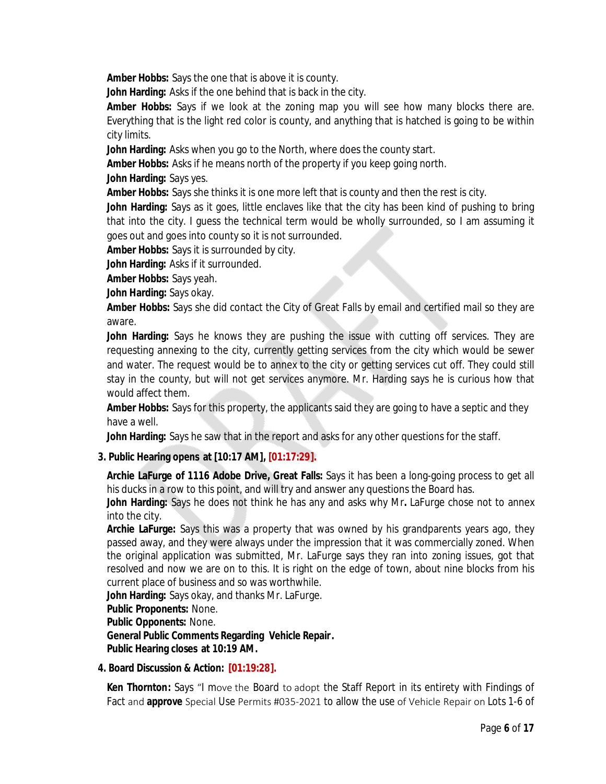**Amber Hobbs:** Says the one that is above it is county.

**John Harding:** Asks if the one behind that is back in the city.

**Amber Hobbs:** Says if we look at the zoning map you will see how many blocks there are. Everything that is the light red color is county, and anything that is hatched is going to be within city limits.

**John Harding:** Asks when you go to the North, where does the county start.

**Amber Hobbs:** Asks if he means north of the property if you keep going north.

**John Harding:** Says yes.

**Amber Hobbs:** Says she thinks it is one more left that is county and then the rest is city.

**John Harding:** Says as it goes, little enclaves like that the city has been kind of pushing to bring that into the city. I guess the technical term would be wholly surrounded, so I am assuming it goes out and goes into county so it is not surrounded.

**Amber Hobbs:** Says it is surrounded by city.

**John Harding:** Asks if it surrounded.

**Amber Hobbs:** Says yeah.

**John Harding:** Says okay.

**Amber Hobbs:** Says she did contact the City of Great Falls by email and certified mail so they are aware.

**John Harding:** Says he knows they are pushing the issue with cutting off services. They are requesting annexing to the city, currently getting services from the city which would be sewer and water. The request would be to annex to the city or getting services cut off. They could still stay in the county, but will not get services anymore. Mr. Harding says he is curious how that would affect them.

**Amber Hobbs:** Says for this property, the applicants said they are going to have a septic and they have a well.

**John Harding:** Says he saw that in the report and asks for any other questions for the staff.

# **3. Public Hearing opens at [10:17 AM], [01:17:29].**

**Archie LaFurge of 1116 Adobe Drive, Great Falls:** Says it has been a long-going process to get all his ducks in a row to this point, and will try and answer any questions the Board has.

**John Harding:** Says he does not think he has any and asks why Mr**.** LaFurge chose not to annex into the city.

**Archie LaFurge:** Says this was a property that was owned by his grandparents years ago, they passed away, and they were always under the impression that it was commercially zoned. When the original application was submitted, Mr. LaFurge says they ran into zoning issues, got that resolved and now we are on to this. It is right on the edge of town, about nine blocks from his current place of business and so was worthwhile.

**John Harding:** Says okay, and thanks Mr. LaFurge.

**Public Proponents:** None.

**Public Opponents:** None.

**General Public Comments Regarding Vehicle Repair. Public Hearing closes at 10:19 AM.**

# **4. Board Discussion & Action: [01:19:28].**

**Ken Thornton:** Says "I move the Board to adopt the Staff Report in its entirety with Findings of Fact and **approve** Special Use Permits #035-2021 to allow the use of Vehicle Repair on Lots 1-6 of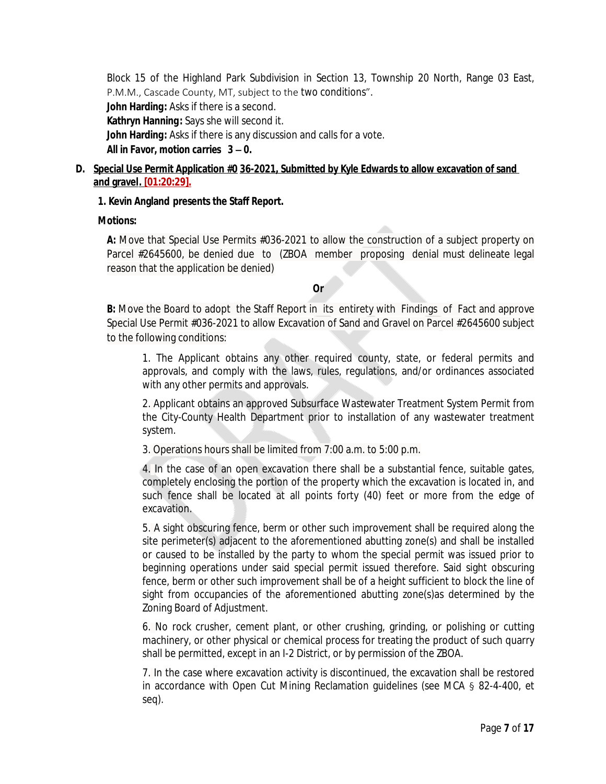Block 15 of the Highland Park Subdivision in Section 13, Township 20 North, Range 03 East, P.M.M., Cascade County, MT, subject to the two conditions".

**John Harding:** Asks if there is a second.

**Kathryn Hanning:** Says she will second it.

**John Harding:** Asks if there is any discussion and calls for a vote.

*All in Favor, motion carries 3 – 0.*

# **D. Special Use Permit Application #0 36-2021, Submitted by Kyle Edwards to allow excavation of sand and gravel. [01:20:29].**

# **1. Kevin Angland presents the Staff Report.**

#### **Motions:**

**A:** Move that Special Use Permits #036-2021 to allow the construction of a subject property on Parcel #2645600, be denied due to (ZBOA member proposing denial must delineate legal reason that the application be denied)

**Or**

**B:** Move the Board to adopt the Staff Report in its entirety with Findings of Fact and approve Special Use Permit #036-2021 to allow Excavation of Sand and Gravel on Parcel #2645600 subject to the following conditions:

1. The Applicant obtains any other required county, state, or federal permits and approvals, and comply with the laws, rules, regulations, and/or ordinances associated with any other permits and approvals.

2. Applicant obtains an approved Subsurface Wastewater Treatment System Permit from the City-County Health Department prior to installation of any wastewater treatment system.

3. Operations hours shall be limited from 7:00 a.m. to 5:00 p.m.

4. In the case of an open excavation there shall be a substantial fence, suitable gates, completely enclosing the portion of the property which the excavation is located in, and such fence shall be located at all points forty (40) feet or more from the edge of excavation.

5. A sight obscuring fence, berm or other such improvement shall be required along the site perimeter(s) adjacent to the aforementioned abutting zone(s) and shall be installed or caused to be installed by the party to whom the special permit was issued prior to beginning operations under said special permit issued therefore. Said sight obscuring fence, berm or other such improvement shall be of a height sufficient to block the line of sight from occupancies of the aforementioned abutting zone(s)as determined by the Zoning Board of Adjustment.

6. No rock crusher, cement plant, or other crushing, grinding, or polishing or cutting machinery, or other physical or chemical process for treating the product of such quarry shall be permitted, except in an I-2 District, or by permission of the ZBOA.

7. In the case where excavation activity is discontinued, the excavation shall be restored in accordance with Open Cut Mining Reclamation guidelines (see MCA § 82-4-400, et seq).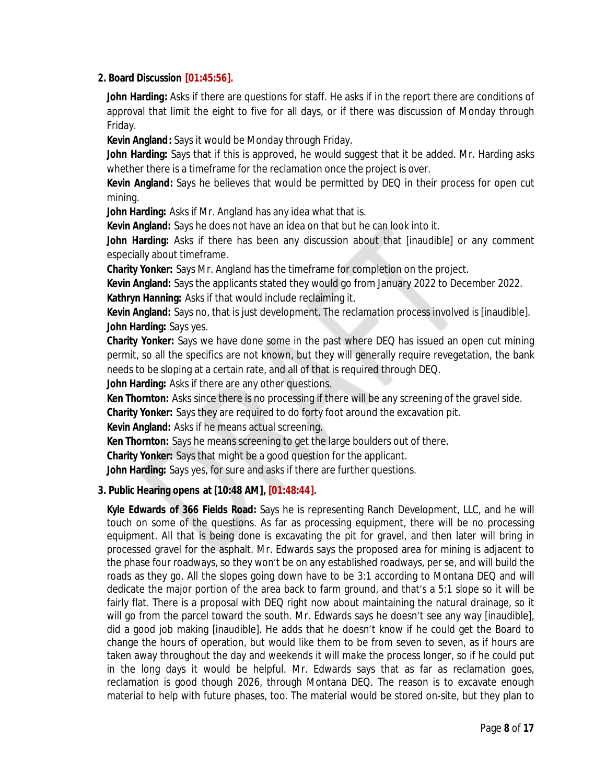#### **2. Board Discussion [01:45:56].**

**John Harding:** Asks if there are questions for staff. He asks if in the report there are conditions of approval that limit the eight to five for all days, or if there was discussion of Monday through Friday.

**Kevin Angland:** Says it would be Monday through Friday.

**John Harding:** Says that if this is approved, he would suggest that it be added. Mr. Harding asks whether there is a timeframe for the reclamation once the project is over.

**Kevin Angland:** Says he believes that would be permitted by DEQ in their process for open cut mining.

**John Harding:** Asks if Mr. Angland has any idea what that is.

**Kevin Angland:** Says he does not have an idea on that but he can look into it.

**John Harding:** Asks if there has been any discussion about that [inaudible] or any comment especially about timeframe.

**Charity Yonker:** Says Mr. Angland has the timeframe for completion on the project.

**Kevin Angland:** Says the applicants stated they would go from January 2022 to December 2022. **Kathryn Hanning:** Asks if that would include reclaiming it.

**Kevin Angland:** Says no, that is just development. The reclamation process involved is [inaudible]. **John Harding:** Says yes.

**Charity Yonker:** Says we have done some in the past where DEQ has issued an open cut mining permit, so all the specifics are not known, but they will generally require revegetation, the bank needs to be sloping at a certain rate, and all of that is required through DEQ.

**John Harding:** Asks if there are any other questions.

**Ken Thornton:** Asks since there is no processing if there will be any screening of the gravel side.

**Charity Yonker:** Says they are required to do forty foot around the excavation pit.

**Kevin Angland:** Asks if he means actual screening.

**Ken Thornton:** Says he means screening to get the large boulders out of there.

**Charity Yonker:** Says that might be a good question for the applicant.

**John Harding:** Says yes, for sure and asks if there are further questions.

# **3. Public Hearing opens at [10:48 AM], [01:48:44].**

**Kyle Edwards of 366 Fields Road:** Says he is representing Ranch Development, LLC, and he will touch on some of the questions. As far as processing equipment, there will be no processing equipment. All that is being done is excavating the pit for gravel, and then later will bring in processed gravel for the asphalt. Mr. Edwards says the proposed area for mining is adjacent to the phase four roadways, so they won't be on any established roadways, per se, and will build the roads as they go. All the slopes going down have to be 3:1 according to Montana DEQ and will dedicate the major portion of the area back to farm ground, and that's a 5:1 slope so it will be fairly flat. There is a proposal with DEQ right now about maintaining the natural drainage, so it will go from the parcel toward the south. Mr. Edwards says he doesn't see any way [inaudible], did a good job making [inaudible]. He adds that he doesn't know if he could get the Board to change the hours of operation, but would like them to be from seven to seven, as if hours are taken away throughout the day and weekends it will make the process longer, so if he could put in the long days it would be helpful. Mr. Edwards says that as far as reclamation goes, reclamation is good though 2026, through Montana DEQ. The reason is to excavate enough material to help with future phases, too. The material would be stored on-site, but they plan to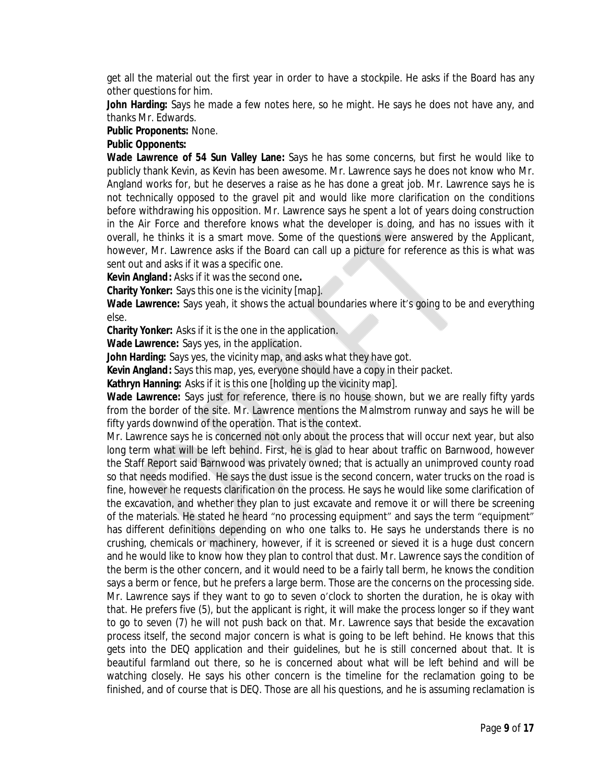get all the material out the first year in order to have a stockpile. He asks if the Board has any other questions for him.

**John Harding:** Says he made a few notes here, so he might. He says he does not have any, and thanks Mr. Edwards.

#### **Public Proponents:** None.

#### **Public Opponents:**

**Wade Lawrence of 54 Sun Valley Lane:** Says he has some concerns, but first he would like to publicly thank Kevin, as Kevin has been awesome. Mr. Lawrence says he does not know who Mr. Angland works for, but he deserves a raise as he has done a great job. Mr. Lawrence says he is not technically opposed to the gravel pit and would like more clarification on the conditions before withdrawing his opposition. Mr. Lawrence says he spent a lot of years doing construction in the Air Force and therefore knows what the developer is doing, and has no issues with it overall, he thinks it is a smart move. Some of the questions were answered by the Applicant, however, Mr. Lawrence asks if the Board can call up a picture for reference as this is what was sent out and asks if it was a specific one.

**Kevin Angland:** Asks if it was the second one**.**

**Charity Yonker:** Says this one is the vicinity [map].

**Wade Lawrence:** Says yeah, it shows the actual boundaries where it's going to be and everything else.

**Charity Yonker:** Asks if it is the one in the application.

**Wade Lawrence:** Says yes, in the application.

**John Harding:** Says yes, the vicinity map, and asks what they have got.

**Kevin Angland:** Says this map, yes, everyone should have a copy in their packet.

**Kathryn Hanning:** Asks if it is this one [holding up the vicinity map].

**Wade Lawrence:** Says just for reference, there is no house shown, but we are really fifty yards from the border of the site. Mr. Lawrence mentions the Malmstrom runway and says he will be fifty yards downwind of the operation. That is the context.

Mr. Lawrence says he is concerned not only about the process that will occur next year, but also long term what will be left behind. First, he is glad to hear about traffic on Barnwood, however the Staff Report said Barnwood was privately owned; that is actually an unimproved county road so that needs modified. He says the dust issue is the second concern, water trucks on the road is fine, however he requests clarification on the process. He says he would like some clarification of the excavation, and whether they plan to just excavate and remove it or will there be screening of the materials. He stated he heard "no processing equipment" and says the term "equipment" has different definitions depending on who one talks to. He says he understands there is no crushing, chemicals or machinery, however, if it is screened or sieved it is a huge dust concern and he would like to know how they plan to control that dust. Mr. Lawrence says the condition of the berm is the other concern, and it would need to be a fairly tall berm, he knows the condition says a berm or fence, but he prefers a large berm. Those are the concerns on the processing side. Mr. Lawrence says if they want to go to seven o'clock to shorten the duration, he is okay with that. He prefers five (5), but the applicant is right, it will make the process longer so if they want to go to seven (7) he will not push back on that. Mr. Lawrence says that beside the excavation process itself, the second major concern is what is going to be left behind. He knows that this gets into the DEQ application and their guidelines, but he is still concerned about that. It is beautiful farmland out there, so he is concerned about what will be left behind and will be watching closely. He says his other concern is the timeline for the reclamation going to be finished, and of course that is DEQ. Those are all his questions, and he is assuming reclamation is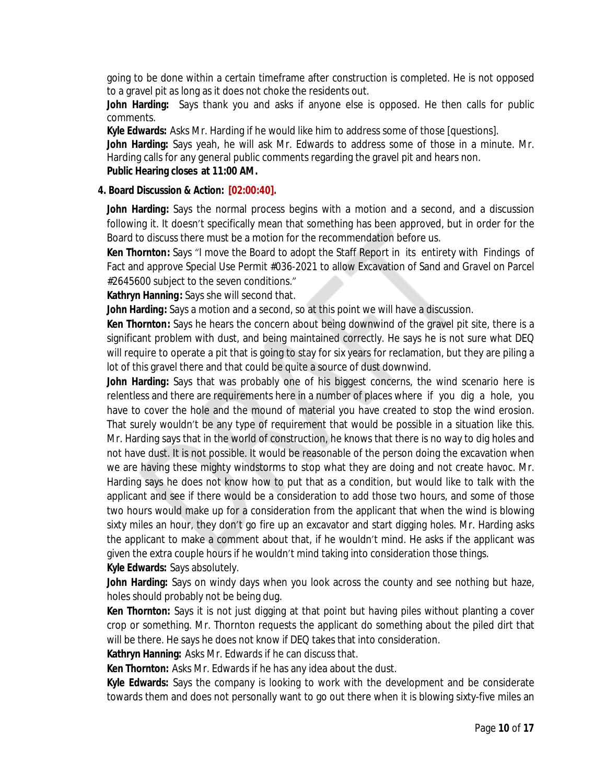going to be done within a certain timeframe after construction is completed. He is not opposed to a gravel pit as long as it does not choke the residents out.

**John Harding:** Says thank you and asks if anyone else is opposed. He then calls for public comments.

**Kyle Edwards:** Asks Mr. Harding if he would like him to address some of those [questions].

**John Harding:** Says yeah, he will ask Mr. Edwards to address some of those in a minute. Mr. Harding calls for any general public comments regarding the gravel pit and hears non.

**Public Hearing closes at 11:00 AM.**

#### **4. Board Discussion & Action: [02:00:40].**

**John Harding:** Says the normal process begins with a motion and a second, and a discussion following it. It doesn't specifically mean that something has been approved, but in order for the Board to discuss there must be a motion for the recommendation before us.

**Ken Thornton:** Says "I move the Board to adopt the Staff Report in its entirety with Findings of Fact and approve Special Use Permit #036-2021 to allow Excavation of Sand and Gravel on Parcel #2645600 subject to the seven conditions."

**Kathryn Hanning:** Says she will second that.

**John Harding:** Says a motion and a second, so at this point we will have a discussion.

**Ken Thornton:** Says he hears the concern about being downwind of the gravel pit site, there is a significant problem with dust, and being maintained correctly. He says he is not sure what DEQ will require to operate a pit that is going to stay for six years for reclamation, but they are piling a lot of this gravel there and that could be quite a source of dust downwind.

**John Harding:** Says that was probably one of his biggest concerns, the wind scenario here is relentless and there are requirements here in a number of places where if you dig a hole, you have to cover the hole and the mound of material you have created to stop the wind erosion. That surely wouldn't be any type of requirement that would be possible in a situation like this. Mr. Harding says that in the world of construction, he knows that there is no way to dig holes and not have dust. It is not possible. It would be reasonable of the person doing the excavation when we are having these mighty windstorms to stop what they are doing and not create havoc. Mr. Harding says he does not know how to put that as a condition, but would like to talk with the applicant and see if there would be a consideration to add those two hours, and some of those two hours would make up for a consideration from the applicant that when the wind is blowing sixty miles an hour, they don't go fire up an excavator and start digging holes. Mr. Harding asks the applicant to make a comment about that, if he wouldn't mind. He asks if the applicant was given the extra couple hours if he wouldn't mind taking into consideration those things. **Kyle Edwards:** Says absolutely.

**John Harding:** Says on windy days when you look across the county and see nothing but haze, holes should probably not be being dug.

**Ken Thornton:** Says it is not just digging at that point but having piles without planting a cover crop or something. Mr. Thornton requests the applicant do something about the piled dirt that will be there. He says he does not know if DEQ takes that into consideration.

**Kathryn Hanning:** Asks Mr. Edwards if he can discuss that.

**Ken Thornton:** Asks Mr. Edwards if he has any idea about the dust.

**Kyle Edwards:** Says the company is looking to work with the development and be considerate towards them and does not personally want to go out there when it is blowing sixty-five miles an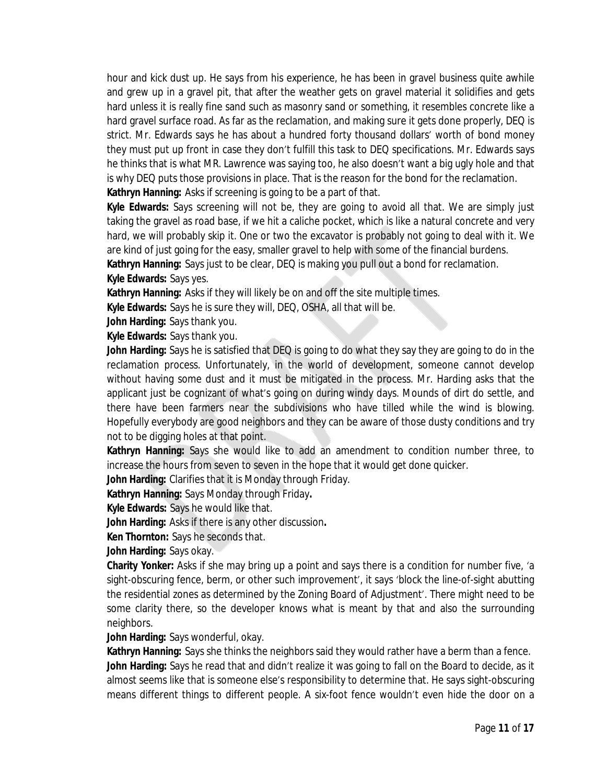hour and kick dust up. He says from his experience, he has been in gravel business quite awhile and grew up in a gravel pit, that after the weather gets on gravel material it solidifies and gets hard unless it is really fine sand such as masonry sand or something, it resembles concrete like a hard gravel surface road. As far as the reclamation, and making sure it gets done properly, DEQ is strict. Mr. Edwards says he has about a hundred forty thousand dollars' worth of bond money they must put up front in case they don't fulfill this task to DEQ specifications. Mr. Edwards says he thinks that is what MR. Lawrence was saying too, he also doesn't want a big ugly hole and that is why DEQ puts those provisions in place. That is the reason for the bond for the reclamation.

**Kathryn Hanning:** Asks if screening is going to be a part of that.

**Kyle Edwards:** Says screening will not be, they are going to avoid all that. We are simply just taking the gravel as road base, if we hit a caliche pocket, which is like a natural concrete and very hard, we will probably skip it. One or two the excavator is probably not going to deal with it. We are kind of just going for the easy, smaller gravel to help with some of the financial burdens.

**Kathryn Hanning:** Says just to be clear, DEQ is making you pull out a bond for reclamation. **Kyle Edwards:** Says yes.

**Kathryn Hanning:** Asks if they will likely be on and off the site multiple times.

**Kyle Edwards:** Says he is sure they will, DEQ, OSHA, all that will be.

**John Harding:** Says thank you.

**Kyle Edwards:** Says thank you.

**John Harding:** Says he is satisfied that DEQ is going to do what they say they are going to do in the reclamation process. Unfortunately, in the world of development, someone cannot develop without having some dust and it must be mitigated in the process. Mr. Harding asks that the applicant just be cognizant of what's going on during windy days. Mounds of dirt do settle, and there have been farmers near the subdivisions who have tilled while the wind is blowing. Hopefully everybody are good neighbors and they can be aware of those dusty conditions and try not to be digging holes at that point.

**Kathryn Hanning:** Says she would like to add an amendment to condition number three, to increase the hours from seven to seven in the hope that it would get done quicker.

**John Harding:** Clarifies that it is Monday through Friday.

**Kathryn Hanning:** Says Monday through Friday**.**

**Kyle Edwards:** Says he would like that.

**John Harding:** Asks if there is any other discussion**.**

**Ken Thornton:** Says he seconds that.

**John Harding:** Says okay.

**Charity Yonker:** Asks if she may bring up a point and says there is a condition for number five, 'a sight-obscuring fence, berm, or other such improvement', it says 'block the line-of-sight abutting the residential zones as determined by the Zoning Board of Adjustment'. There might need to be some clarity there, so the developer knows what is meant by that and also the surrounding neighbors.

**John Harding:** Says wonderful, okay.

**Kathryn Hanning:** Says she thinks the neighbors said they would rather have a berm than a fence. **John Harding:** Says he read that and didn't realize it was going to fall on the Board to decide, as it almost seems like that is someone else's responsibility to determine that. He says sight-obscuring means different things to different people. A six-foot fence wouldn't even hide the door on a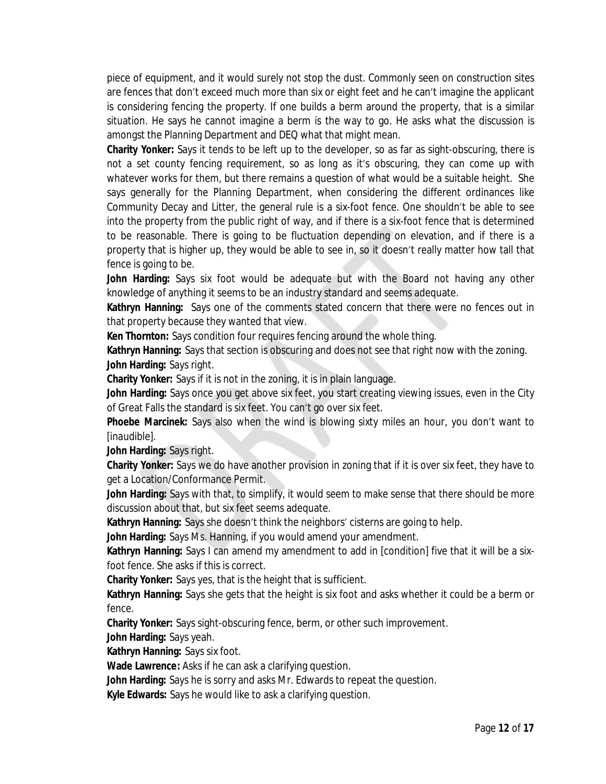piece of equipment, and it would surely not stop the dust. Commonly seen on construction sites are fences that don't exceed much more than six or eight feet and he can't imagine the applicant is considering fencing the property. If one builds a berm around the property, that is a similar situation. He says he cannot imagine a berm is the way to go. He asks what the discussion is amongst the Planning Department and DEQ what that might mean.

**Charity Yonker:** Says it tends to be left up to the developer, so as far as sight-obscuring, there is not a set county fencing requirement, so as long as it's obscuring, they can come up with whatever works for them, but there remains a question of what would be a suitable height. She says generally for the Planning Department, when considering the different ordinances like Community Decay and Litter, the general rule is a six-foot fence. One shouldn't be able to see into the property from the public right of way, and if there is a six-foot fence that is determined to be reasonable. There is going to be fluctuation depending on elevation, and if there is a property that is higher up, they would be able to see in, so it doesn't really matter how tall that fence is going to be.

**John Harding:** Says six foot would be adequate but with the Board not having any other knowledge of anything it seems to be an industry standard and seems adequate.

**Kathryn Hanning:** Says one of the comments stated concern that there were no fences out in that property because they wanted that view.

**Ken Thornton:** Says condition four requires fencing around the whole thing.

**Kathryn Hanning:** Says that section is obscuring and does not see that right now with the zoning. **John Harding:** Says right.

**Charity Yonker:** Says if it is not in the zoning, it is in plain language.

**John Harding:** Says once you get above six feet, you start creating viewing issues, even in the City of Great Falls the standard is six feet. You can't go over six feet.

**Phoebe Marcinek:** Says also when the wind is blowing sixty miles an hour, you don't want to [*inaudible*].

**John Harding:** Says right.

**Charity Yonker:** Says we do have another provision in zoning that if it is over six feet, they have to get a Location/Conformance Permit.

**John Harding:** Says with that, to simplify, it would seem to make sense that there should be more discussion about that, but six feet seems adequate.

**Kathryn Hanning:** Says she doesn't think the neighbors' cisterns are going to help.

**John Harding:** Says Ms. Hanning, if you would amend your amendment.

**Kathryn Hanning:** Says I can amend my amendment to add in [condition] five that it will be a sixfoot fence. She asks if this is correct.

**Charity Yonker:** Says yes, that is the height that is sufficient.

**Kathryn Hanning:** Says she gets that the height is six foot and asks whether it could be a berm or fence.

**Charity Yonker:** Says sight-obscuring fence, berm, or other such improvement.

**John Harding:** Says yeah.

**Kathryn Hanning:** Says six foot.

**Wade Lawrence:** Asks if he can ask a clarifying question.

**John Harding:** Says he is sorry and asks Mr. Edwards to repeat the question.

**Kyle Edwards:** Says he would like to ask a clarifying question.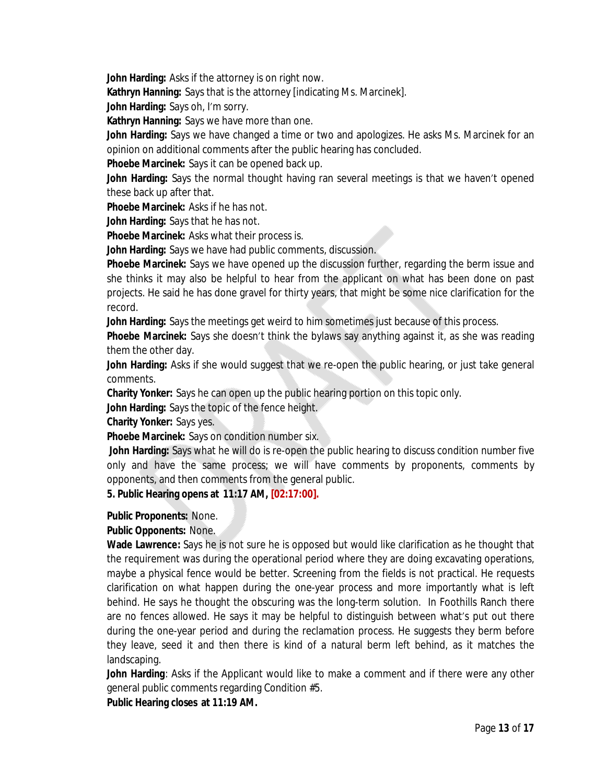**John Harding:** Asks if the attorney is on right now.

**Kathryn Hanning:** Says that is the attorney [indicating Ms. Marcinek].

**John Harding:** Says oh, I'm sorry.

**Kathryn Hanning:** Says we have more than one.

**John Harding:** Says we have changed a time or two and apologizes. He asks Ms. Marcinek for an opinion on additional comments after the public hearing has concluded.

**Phoebe Marcinek:** Says it can be opened back up.

**John Harding:** Says the normal thought having ran several meetings is that we haven't opened these back up after that.

**Phoebe Marcinek:** Asks if he has not.

**John Harding:** Says that he has not.

**Phoebe Marcinek:** Asks what their process is.

**John Harding:** Says we have had public comments, discussion.

**Phoebe Marcinek:** Says we have opened up the discussion further, regarding the berm issue and she thinks it may also be helpful to hear from the applicant on what has been done on past projects. He said he has done gravel for thirty years, that might be some nice clarification for the record.

**John Harding:** Says the meetings get weird to him sometimes just because of this process.

**Phoebe Marcinek:** Says she doesn't think the bylaws say anything against it, as she was reading them the other day.

John Harding: Asks if she would suggest that we re-open the public hearing, or just take general comments.

**Charity Yonker:** Says he can open up the public hearing portion on this topic only.

**John Harding:** Says the topic of the fence height.

**Charity Yonker:** Says yes.

**Phoebe Marcinek:** Says on condition number six.

**John Harding:** Says what he will do is re-open the public hearing to discuss condition number five only and have the same process; we will have comments by proponents, comments by opponents, and then comments from the general public.

**5. Public Hearing opens at 11:17 AM, [02:17:00].**

**Public Proponents:** None.

# **Public Opponents:** None.

**Wade Lawrence:** Says he is not sure he is opposed but would like clarification as he thought that the requirement was during the operational period where they are doing excavating operations, maybe a physical fence would be better. Screening from the fields is not practical. He requests clarification on what happen during the one-year process and more importantly what is left behind. He says he thought the obscuring was the long-term solution. In Foothills Ranch there are no fences allowed. He says it may be helpful to distinguish between what's put out there during the one-year period and during the reclamation process. He suggests they berm before they leave, seed it and then there is kind of a natural berm left behind, as it matches the landscaping.

**John Harding**: Asks if the Applicant would like to make a comment and if there were any other general public comments regarding Condition #5.

**Public Hearing closes at 11:19 AM.**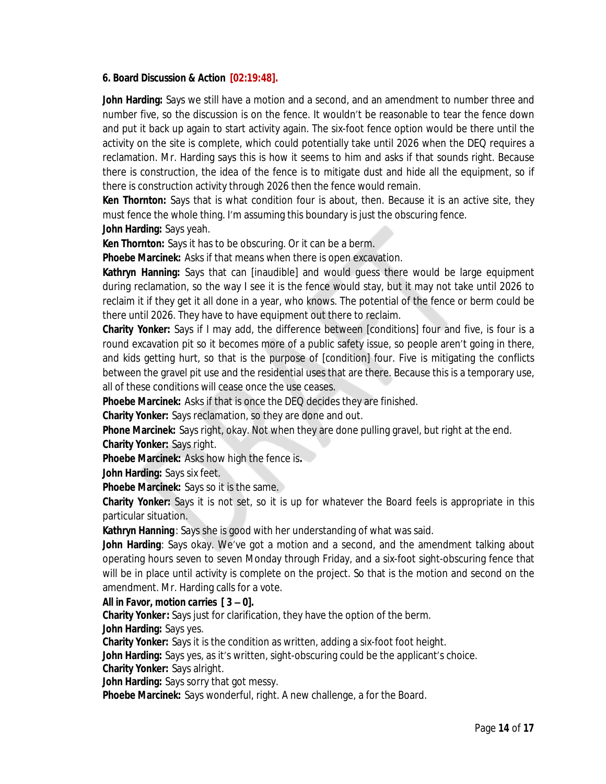#### **6. Board Discussion & Action [02:19:48].**

**John Harding:** Says we still have a motion and a second, and an amendment to number three and number five, so the discussion is on the fence. It wouldn't be reasonable to tear the fence down and put it back up again to start activity again. The six-foot fence option would be there until the activity on the site is complete, which could potentially take until 2026 when the DEQ requires a reclamation. Mr. Harding says this is how it seems to him and asks if that sounds right. Because there is construction, the idea of the fence is to mitigate dust and hide all the equipment, so if there is construction activity through 2026 then the fence would remain.

**Ken Thornton:** Says that is what condition four is about, then. Because it is an active site, they must fence the whole thing. I'm assuming this boundary is just the obscuring fence.

**John Harding:** Says yeah.

**Ken Thornton:** Says it has to be obscuring. Or it can be a berm.

**Phoebe Marcinek:** Asks if that means when there is open excavation.

**Kathryn Hanning:** Says that can [inaudible] and would guess there would be large equipment during reclamation, so the way I see it is the fence would stay, but it may not take until 2026 to reclaim it if they get it all done in a year, who knows. The potential of the fence or berm could be there until 2026. They have to have equipment out there to reclaim.

**Charity Yonker:** Says if I may add, the difference between [conditions] four and five, is four is a round excavation pit so it becomes more of a public safety issue, so people aren't going in there, and kids getting hurt, so that is the purpose of [condition] four. Five is mitigating the conflicts between the gravel pit use and the residential uses that are there. Because this is a temporary use, all of these conditions will cease once the use ceases.

**Phoebe Marcinek:** Asks if that is once the DEQ decides they are finished.

**Charity Yonker:** Says reclamation, so they are done and out.

**Phone Marcinek:** Says right, okay. Not when they are done pulling gravel, but right at the end.

**Charity Yonker:** Says right.

**Phoebe Marcinek:** Asks how high the fence is**.**

**John Harding:** Says six feet.

**Phoebe Marcinek:** Says so it is the same.

**Charity Yonker:** Says it is not set, so it is up for whatever the Board feels is appropriate in this particular situation.

**Kathryn Hanning**: Says she is good with her understanding of what was said.

**John Harding**: Says okay. We've got a motion and a second, and the amendment talking about operating hours seven to seven Monday through Friday, and a six-foot sight-obscuring fence that will be in place until activity is complete on the project. So that is the motion and second on the amendment. Mr. Harding calls for a vote.

#### *All in Favor, motion carries [ 3 – 0].*

**Charity Yonker***:* Says just for clarification, they have the option of the berm.

**John Harding:** Says yes.

**Charity Yonker:** Says it is the condition as written, adding a six-foot foot height.

John Harding: Says yes, as it's written, sight-obscuring could be the applicant's choice.

**Charity Yonker:** Says alright.

**John Harding:** Says sorry that got messy.

**Phoebe Marcinek:** Says wonderful, right. A new challenge, a for the Board.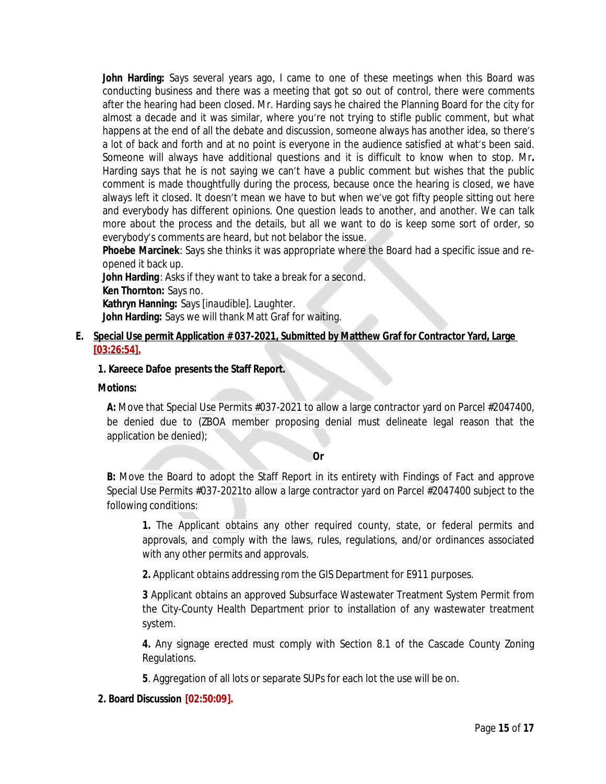**John Harding:** Says several years ago, I came to one of these meetings when this Board was conducting business and there was a meeting that got so out of control, there were comments after the hearing had been closed. Mr. Harding says he chaired the Planning Board for the city for almost a decade and it was similar, where you're not trying to stifle public comment, but what happens at the end of all the debate and discussion, someone always has another idea, so there's a lot of back and forth and at no point is everyone in the audience satisfied at what's been said. Someone will always have additional questions and it is difficult to know when to stop. Mr**.** Harding says that he is not saying we can't have a public comment but wishes that the public comment is made thoughtfully during the process, because once the hearing is closed, we have always left it closed. It doesn't mean we have to but when we've got fifty people sitting out here and everybody has different opinions. One question leads to another, and another. We can talk more about the process and the details, but all we want to do is keep some sort of order, so everybody's comments are heard, but not belabor the issue.

**Phoebe Marcinek**: Says she thinks it was appropriate where the Board had a specific issue and reopened it back up.

**John Harding**: Asks if they want to take a break for a second. **Ken Thornton:** Says no. **Kathryn Hanning:** Says [*inaudible*]. *Laughter*. **John Harding:** Says we will thank Matt Graf for waiting.

#### **E. Special Use permit Application # 037-2021, Submitted by Matthew Graf for Contractor Yard, Large [03:26:54].**

#### **1. Kareece Dafoe presents the Staff Report.**

#### **Motions:**

**A:** Move that Special Use Permits #037-2021 to allow a large contractor yard on Parcel #2047400, be denied due to (ZBOA member proposing denial must delineate legal reason that the application be denied);

#### **Or**

**B:** Move the Board to adopt the Staff Report in its entirety with Findings of Fact and approve Special Use Permits #037-2021to allow a large contractor yard on Parcel #2047400 subject to the following conditions:

**1.** The Applicant obtains any other required county, state, or federal permits and approvals, and comply with the laws, rules, regulations, and/or ordinances associated with any other permits and approvals.

**2.** Applicant obtains addressing rom the GIS Department for E911 purposes.

**3** Applicant obtains an approved Subsurface Wastewater Treatment System Permit from the City-County Health Department prior to installation of any wastewater treatment system.

**4.** Any signage erected must comply with Section 8.1 of the Cascade County Zoning Regulations.

**5**. Aggregation of all lots or separate SUPs for each lot the use will be on.

# **2. Board Discussion [02:50:09].**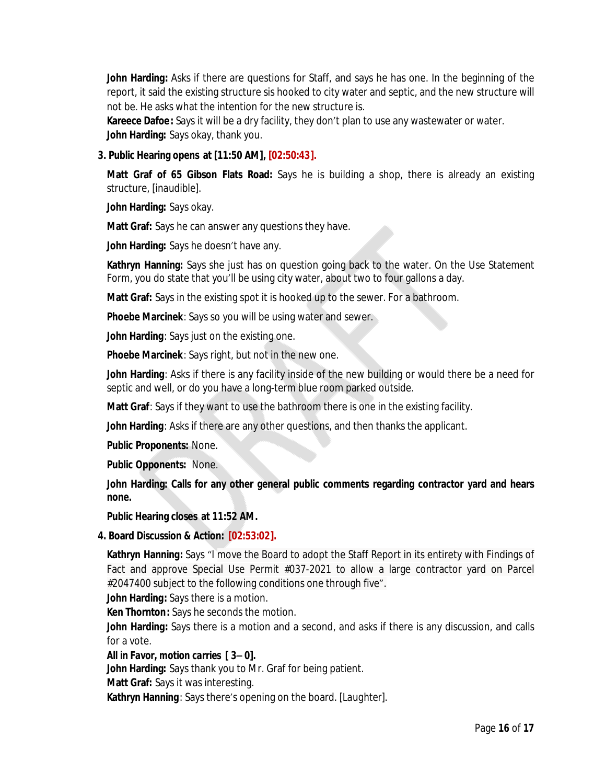**John Harding:** Asks if there are questions for Staff, and says he has one. In the beginning of the report, it said the existing structure sis hooked to city water and septic, and the new structure will not be. He asks what the intention for the new structure is.

**Kareece Dafoe:** Says it will be a dry facility, they don't plan to use any wastewater or water. **John Harding:** Says okay, thank you.

**3. Public Hearing opens at [11:50 AM], [02:50:43].**

**Matt Graf of 65 Gibson Flats Road:** Says he is building a shop, there is already an existing structure, [*inaudible*].

**John Harding:** Says okay.

**Matt Graf:** Says he can answer any questions they have.

**John Harding:** Says he doesn't have any.

**Kathryn Hanning:** Says she just has on question going back to the water. On the Use Statement Form, you do state that you'll be using city water, about two to four gallons a day.

**Matt Graf:** Says in the existing spot it is hooked up to the sewer. For a bathroom.

**Phoebe Marcinek**: Says so you will be using water and sewer.

**John Harding**: Says just on the existing one.

**Phoebe Marcinek** : Says right, but not in the new one.

**John Harding**: Asks if there is any facility inside of the new building or would there be a need for septic and well, or do you have a long-term blue room parked outside.

**Matt Graf**: Says if they want to use the bathroom there is one in the existing facility.

**John Harding**: Asks if there are any other questions, and then thanks the applicant.

**Public Proponents:** None.

**Public Opponents:** None.

**John Harding: Calls for any other general public comments regarding contractor yard and hears none.**

**Public Hearing closes at 11:52 AM.**

# **4. Board Discussion & Action: [02:53:02].**

**Kathryn Hanning:** Says "I move the Board to adopt the Staff Report in its entirety with Findings of Fact and approve Special Use Permit #037-2021 to allow a large contractor yard on Parcel #2047400 subject to the following conditions one through five".

**John Harding:** Says there is a motion.

**Ken Thornton:** Says he seconds the motion.

**John Harding:** Says there is a motion and a second, and asks if there is any discussion, and calls for a vote.

# *All in Favor, motion carries [ 3– 0].*

**John Harding:** Says thank you to Mr. Graf for being patient.

**Matt Graf:** Says it was interesting.

**Kathryn Hanning**: Says there's opening on the board. *[Laughter].*